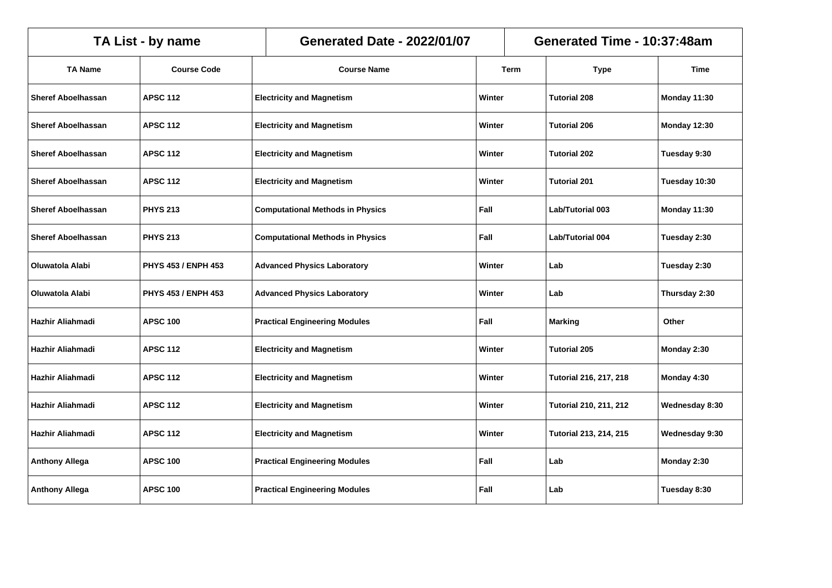|                           | Generated Time - 10:37:48am<br>TA List - by name<br><b>Generated Date - 2022/01/07</b> |                                                 |        |             |                               |                     |
|---------------------------|----------------------------------------------------------------------------------------|-------------------------------------------------|--------|-------------|-------------------------------|---------------------|
| <b>TA Name</b>            | <b>Course Code</b>                                                                     | <b>Course Name</b>                              |        | <b>Term</b> | <b>Type</b>                   | <b>Time</b>         |
| <b>Sheref Aboelhassan</b> | <b>APSC 112</b>                                                                        | <b>Electricity and Magnetism</b>                | Winter |             | Tutorial 208                  | Monday 11:30        |
| <b>Sheref Aboelhassan</b> | <b>APSC 112</b>                                                                        | <b>Electricity and Magnetism</b>                | Winter |             | <b>Tutorial 206</b>           | <b>Monday 12:30</b> |
| <b>Sheref Aboelhassan</b> | <b>APSC 112</b>                                                                        | <b>Electricity and Magnetism</b>                | Winter |             | Tutorial 202                  | Tuesday 9:30        |
| <b>Sheref Aboelhassan</b> | <b>APSC 112</b>                                                                        | <b>Electricity and Magnetism</b>                | Winter |             | Tutorial 201                  | Tuesday 10:30       |
| <b>Sheref Aboelhassan</b> | <b>PHYS 213</b>                                                                        | <b>Computational Methods in Physics</b>         | Fall   |             | <b>Lab/Tutorial 003</b>       | Monday 11:30        |
| <b>Sheref Aboelhassan</b> | <b>PHYS 213</b>                                                                        | <b>Computational Methods in Physics</b><br>Fall |        |             | Lab/Tutorial 004              | Tuesday 2:30        |
| Oluwatola Alabi           | <b>PHYS 453 / ENPH 453</b>                                                             | <b>Advanced Physics Laboratory</b>              |        | Winter      | Lab                           | Tuesday 2:30        |
| Oluwatola Alabi           | PHYS 453 / ENPH 453                                                                    | <b>Advanced Physics Laboratory</b>              | Winter |             | Lab                           | Thursday 2:30       |
| Hazhir Aliahmadi          | <b>APSC 100</b>                                                                        | <b>Practical Engineering Modules</b>            | Fall   |             | <b>Marking</b>                | Other               |
| Hazhir Aliahmadi          | <b>APSC 112</b>                                                                        | <b>Electricity and Magnetism</b>                | Winter |             | <b>Tutorial 205</b>           | Monday 2:30         |
| Hazhir Aliahmadi          | <b>APSC 112</b>                                                                        | <b>Electricity and Magnetism</b>                | Winter |             | <b>Tutorial 216, 217, 218</b> | Monday 4:30         |
| Hazhir Aliahmadi          | <b>APSC 112</b>                                                                        | <b>Electricity and Magnetism</b>                | Winter |             | <b>Tutorial 210, 211, 212</b> | Wednesday 8:30      |
| Hazhir Aliahmadi          | <b>APSC 112</b>                                                                        | <b>Electricity and Magnetism</b>                | Winter |             | <b>Tutorial 213, 214, 215</b> | Wednesday 9:30      |
| <b>Anthony Allega</b>     | <b>APSC 100</b>                                                                        | <b>Practical Engineering Modules</b>            | Fall   |             | Lab                           | Monday 2:30         |
| <b>Anthony Allega</b>     | <b>APSC 100</b>                                                                        | <b>Practical Engineering Modules</b>            | Fall   |             | Lab                           | Tuesday 8:30        |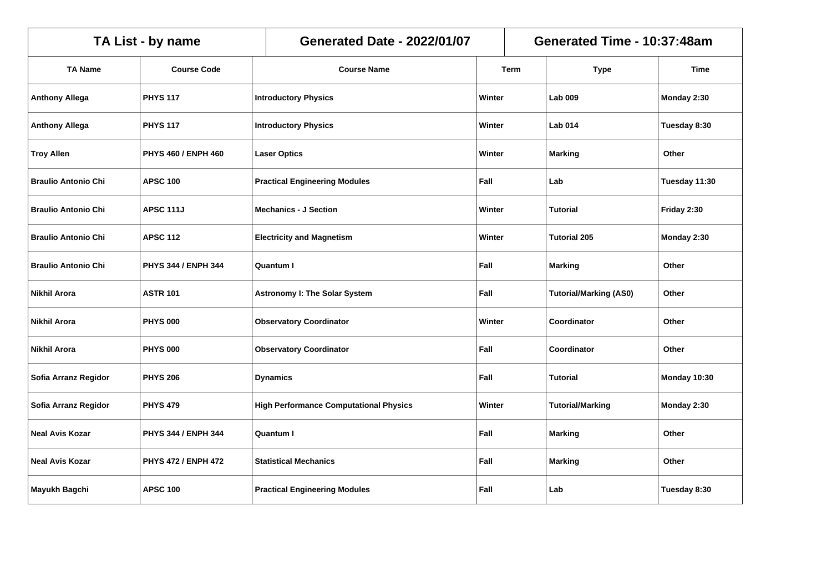|                            | TA List - by name          | <b>Generated Date - 2022/01/07</b>            |        |      | Generated Time - 10:37:48am   |               |
|----------------------------|----------------------------|-----------------------------------------------|--------|------|-------------------------------|---------------|
| <b>TA Name</b>             | <b>Course Code</b>         | <b>Course Name</b>                            |        | Term | <b>Type</b>                   | <b>Time</b>   |
| <b>Anthony Allega</b>      | <b>PHYS 117</b>            | <b>Introductory Physics</b>                   | Winter |      | Lab 009                       | Monday 2:30   |
| <b>Anthony Allega</b>      | <b>PHYS 117</b>            | <b>Introductory Physics</b>                   | Winter |      | <b>Lab 014</b>                | Tuesday 8:30  |
| <b>Troy Allen</b>          | PHYS 460 / ENPH 460        | <b>Laser Optics</b>                           | Winter |      | <b>Marking</b>                | Other         |
| <b>Braulio Antonio Chi</b> | <b>APSC 100</b>            | <b>Practical Engineering Modules</b>          | Fall   |      | Lab                           | Tuesday 11:30 |
| <b>Braulio Antonio Chi</b> | <b>APSC 111J</b>           | <b>Mechanics - J Section</b>                  | Winter |      | <b>Tutorial</b>               | Friday 2:30   |
| <b>Braulio Antonio Chi</b> | <b>APSC 112</b>            | <b>Electricity and Magnetism</b><br>Winter    |        |      | <b>Tutorial 205</b>           | Monday 2:30   |
| <b>Braulio Antonio Chi</b> | PHYS 344 / ENPH 344        | Fall<br><b>Quantum I</b>                      |        |      | <b>Marking</b>                | Other         |
| <b>Nikhil Arora</b>        | <b>ASTR 101</b>            | <b>Astronomy I: The Solar System</b>          | Fall   |      | <b>Tutorial/Marking (AS0)</b> | Other         |
| <b>Nikhil Arora</b>        | <b>PHYS 000</b>            | <b>Observatory Coordinator</b>                | Winter |      | Coordinator                   | Other         |
| <b>Nikhil Arora</b>        | <b>PHYS 000</b>            | <b>Observatory Coordinator</b>                | Fall   |      | Coordinator                   | Other         |
| Sofia Arranz Regidor       | <b>PHYS 206</b>            | <b>Dynamics</b>                               | Fall   |      | <b>Tutorial</b>               | Monday 10:30  |
| Sofia Arranz Regidor       | <b>PHYS 479</b>            | <b>High Performance Computational Physics</b> | Winter |      | <b>Tutorial/Marking</b>       | Monday 2:30   |
| <b>Neal Avis Kozar</b>     | PHYS 344 / ENPH 344        | <b>Quantum I</b>                              | Fall   |      | <b>Marking</b>                | Other         |
| <b>Neal Avis Kozar</b>     | <b>PHYS 472 / ENPH 472</b> | <b>Statistical Mechanics</b>                  | Fall   |      | <b>Marking</b>                | Other         |
| Mayukh Bagchi              | <b>APSC 100</b>            | <b>Practical Engineering Modules</b>          | Fall   |      | Lab                           | Tuesday 8:30  |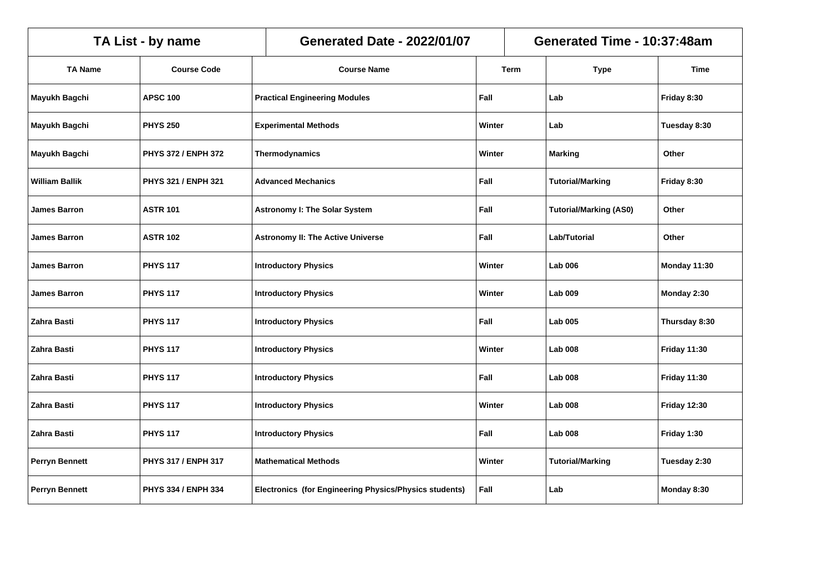|                       | TA List - by name          | <b>Generated Date - 2022/01/07</b>                     |      |        | Generated Time - 10:37:48am   |                     |  |  |
|-----------------------|----------------------------|--------------------------------------------------------|------|--------|-------------------------------|---------------------|--|--|
| <b>TA Name</b>        | <b>Course Code</b>         | <b>Course Name</b>                                     |      | Term   | <b>Type</b>                   | Time                |  |  |
| Mayukh Bagchi         | <b>APSC 100</b>            | <b>Practical Engineering Modules</b>                   | Fall |        | Lab                           | Friday 8:30         |  |  |
| Mayukh Bagchi         | <b>PHYS 250</b>            | <b>Experimental Methods</b>                            |      | Winter | Lab                           | Tuesday 8:30        |  |  |
| Mayukh Bagchi         | PHYS 372 / ENPH 372        | <b>Thermodynamics</b>                                  |      | Winter | <b>Marking</b>                | Other               |  |  |
| <b>William Ballik</b> | PHYS 321 / ENPH 321        | <b>Advanced Mechanics</b>                              | Fall |        | <b>Tutorial/Marking</b>       | Friday 8:30         |  |  |
| <b>James Barron</b>   | <b>ASTR 101</b>            | <b>Astronomy I: The Solar System</b><br>Fall           |      |        | <b>Tutorial/Marking (AS0)</b> | Other               |  |  |
| <b>James Barron</b>   | <b>ASTR 102</b>            | <b>Astronomy II: The Active Universe</b>               |      | Fall   | <b>Lab/Tutorial</b>           | Other               |  |  |
| <b>James Barron</b>   | <b>PHYS 117</b>            | <b>Introductory Physics</b>                            |      | Winter | <b>Lab 006</b>                | Monday 11:30        |  |  |
| <b>James Barron</b>   | <b>PHYS 117</b>            | <b>Introductory Physics</b>                            |      | Winter | <b>Lab 009</b>                | Monday 2:30         |  |  |
| Zahra Basti           | <b>PHYS 117</b>            | <b>Introductory Physics</b>                            | Fall |        | <b>Lab 005</b>                | Thursday 8:30       |  |  |
| Zahra Basti           | <b>PHYS 117</b>            | <b>Introductory Physics</b>                            |      | Winter | <b>Lab 008</b>                | <b>Friday 11:30</b> |  |  |
| Zahra Basti           | <b>PHYS 117</b>            | <b>Introductory Physics</b>                            | Fall |        | <b>Lab 008</b>                | <b>Friday 11:30</b> |  |  |
| Zahra Basti           | <b>PHYS 117</b>            | <b>Introductory Physics</b>                            |      | Winter | <b>Lab 008</b>                | <b>Friday 12:30</b> |  |  |
| Zahra Basti           | <b>PHYS 117</b>            | <b>Introductory Physics</b>                            | Fall |        | <b>Lab 008</b>                | Friday 1:30         |  |  |
| Perryn Bennett        | <b>PHYS 317 / ENPH 317</b> | <b>Mathematical Methods</b>                            |      | Winter | <b>Tutorial/Marking</b>       | Tuesday 2:30        |  |  |
| <b>Perryn Bennett</b> | PHYS 334 / ENPH 334        | Electronics (for Engineering Physics/Physics students) | Fall |        | Lab                           | Monday 8:30         |  |  |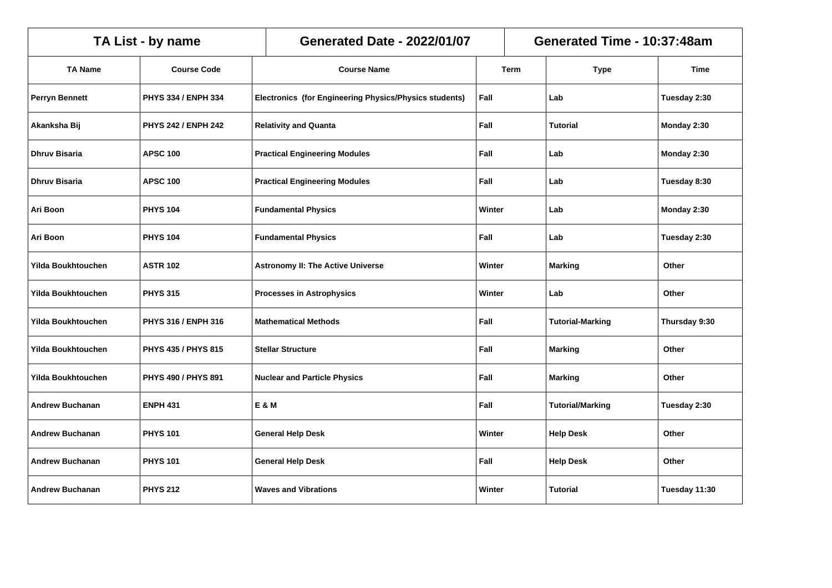|                           | TA List - by name          | <b>Generated Date - 2022/01/07</b>                     |        | Generated Time - 10:37:48am |               |  |  |
|---------------------------|----------------------------|--------------------------------------------------------|--------|-----------------------------|---------------|--|--|
| <b>TA Name</b>            | <b>Course Code</b>         | <b>Course Name</b>                                     | Term   | <b>Type</b>                 | <b>Time</b>   |  |  |
| Perryn Bennett            | PHYS 334 / ENPH 334        | Electronics (for Engineering Physics/Physics students) | Fall   | Lab                         | Tuesday 2:30  |  |  |
| Akanksha Bij              | <b>PHYS 242 / ENPH 242</b> | <b>Relativity and Quanta</b>                           | Fall   | <b>Tutorial</b>             | Monday 2:30   |  |  |
| <b>Dhruv Bisaria</b>      | <b>APSC 100</b>            | <b>Practical Engineering Modules</b>                   | Fall   | Lab                         | Monday 2:30   |  |  |
| Dhruv Bisaria             | <b>APSC 100</b>            | <b>Practical Engineering Modules</b>                   | Fall   | Lab                         | Tuesday 8:30  |  |  |
| Ari Boon                  | <b>PHYS 104</b>            | <b>Fundamental Physics</b>                             | Winter | Lab                         | Monday 2:30   |  |  |
| Ari Boon                  | <b>PHYS 104</b>            | <b>Fundamental Physics</b>                             | Fall   | Lab                         | Tuesday 2:30  |  |  |
| Yilda Boukhtouchen        | <b>ASTR 102</b>            | <b>Astronomy II: The Active Universe</b>               | Winter | <b>Marking</b>              | Other         |  |  |
| <b>Yilda Boukhtouchen</b> | <b>PHYS 315</b>            | <b>Processes in Astrophysics</b>                       | Winter | Lab                         | Other         |  |  |
| <b>Yilda Boukhtouchen</b> | PHYS 316 / ENPH 316        | <b>Mathematical Methods</b>                            | Fall   | <b>Tutorial-Marking</b>     | Thursday 9:30 |  |  |
| Yilda Boukhtouchen        | <b>PHYS 435 / PHYS 815</b> | <b>Stellar Structure</b>                               | Fall   | <b>Marking</b>              | Other         |  |  |
| <b>Yilda Boukhtouchen</b> | PHYS 490 / PHYS 891        | <b>Nuclear and Particle Physics</b>                    | Fall   | <b>Marking</b>              | Other         |  |  |
| <b>Andrew Buchanan</b>    | <b>ENPH 431</b>            | E & M                                                  | Fall   | <b>Tutorial/Marking</b>     | Tuesday 2:30  |  |  |
| <b>Andrew Buchanan</b>    | <b>PHYS 101</b>            | <b>General Help Desk</b>                               | Winter | <b>Help Desk</b>            | Other         |  |  |
| <b>Andrew Buchanan</b>    | <b>PHYS 101</b>            | <b>General Help Desk</b>                               | Fall   | <b>Help Desk</b>            | Other         |  |  |
| <b>Andrew Buchanan</b>    | <b>PHYS 212</b>            | <b>Waves and Vibrations</b>                            | Winter | <b>Tutorial</b>             | Tuesday 11:30 |  |  |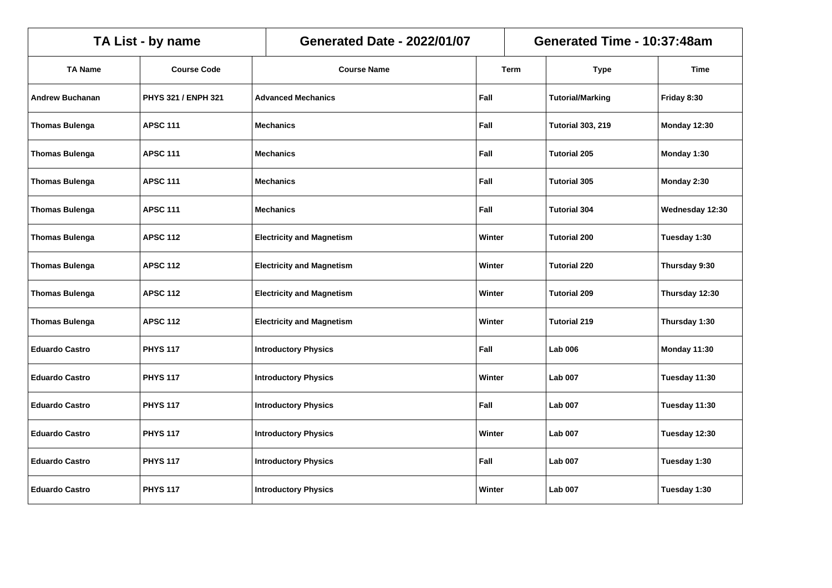|                        | TA List - by name   | Generated Time - 10:37:48am<br><b>Generated Date - 2022/01/07</b> |                                            |        |             |                          |                 |
|------------------------|---------------------|-------------------------------------------------------------------|--------------------------------------------|--------|-------------|--------------------------|-----------------|
| <b>TA Name</b>         | <b>Course Code</b>  |                                                                   | <b>Course Name</b>                         |        | <b>Term</b> | <b>Type</b>              | <b>Time</b>     |
| <b>Andrew Buchanan</b> | PHYS 321 / ENPH 321 |                                                                   | <b>Advanced Mechanics</b>                  | Fall   |             | <b>Tutorial/Marking</b>  | Friday 8:30     |
| <b>Thomas Bulenga</b>  | <b>APSC 111</b>     |                                                                   | <b>Mechanics</b>                           | Fall   |             | <b>Tutorial 303, 219</b> | Monday 12:30    |
| <b>Thomas Bulenga</b>  | <b>APSC 111</b>     |                                                                   | <b>Mechanics</b>                           | Fall   |             | <b>Tutorial 205</b>      | Monday 1:30     |
| <b>Thomas Bulenga</b>  | <b>APSC 111</b>     |                                                                   | <b>Mechanics</b>                           | Fall   |             | <b>Tutorial 305</b>      | Monday 2:30     |
| <b>Thomas Bulenga</b>  | <b>APSC 111</b>     |                                                                   | Fall<br><b>Mechanics</b>                   |        |             | <b>Tutorial 304</b>      | Wednesday 12:30 |
| <b>Thomas Bulenga</b>  | <b>APSC 112</b>     |                                                                   | <b>Electricity and Magnetism</b><br>Winter |        |             | <b>Tutorial 200</b>      | Tuesday 1:30    |
| <b>Thomas Bulenga</b>  | <b>APSC 112</b>     |                                                                   | <b>Electricity and Magnetism</b><br>Winter |        |             | <b>Tutorial 220</b>      | Thursday 9:30   |
| <b>Thomas Bulenga</b>  | <b>APSC 112</b>     |                                                                   | <b>Electricity and Magnetism</b>           |        | Winter      | <b>Tutorial 209</b>      | Thursday 12:30  |
| <b>Thomas Bulenga</b>  | <b>APSC 112</b>     |                                                                   | <b>Electricity and Magnetism</b>           | Winter |             | <b>Tutorial 219</b>      | Thursday 1:30   |
| <b>Eduardo Castro</b>  | <b>PHYS 117</b>     |                                                                   | <b>Introductory Physics</b>                | Fall   |             | <b>Lab 006</b>           | Monday 11:30    |
| <b>Eduardo Castro</b>  | <b>PHYS 117</b>     |                                                                   | <b>Introductory Physics</b>                | Winter |             | <b>Lab 007</b>           | Tuesday 11:30   |
| <b>Eduardo Castro</b>  | <b>PHYS 117</b>     |                                                                   | <b>Introductory Physics</b>                | Fall   |             | <b>Lab 007</b>           | Tuesday 11:30   |
| <b>Eduardo Castro</b>  | <b>PHYS 117</b>     |                                                                   | <b>Introductory Physics</b>                | Winter |             | <b>Lab 007</b>           | Tuesday 12:30   |
| <b>Eduardo Castro</b>  | <b>PHYS 117</b>     |                                                                   | <b>Introductory Physics</b>                | Fall   |             | <b>Lab 007</b>           | Tuesday 1:30    |
| <b>Eduardo Castro</b>  | <b>PHYS 117</b>     |                                                                   | <b>Introductory Physics</b>                | Winter |             | <b>Lab 007</b>           | Tuesday 1:30    |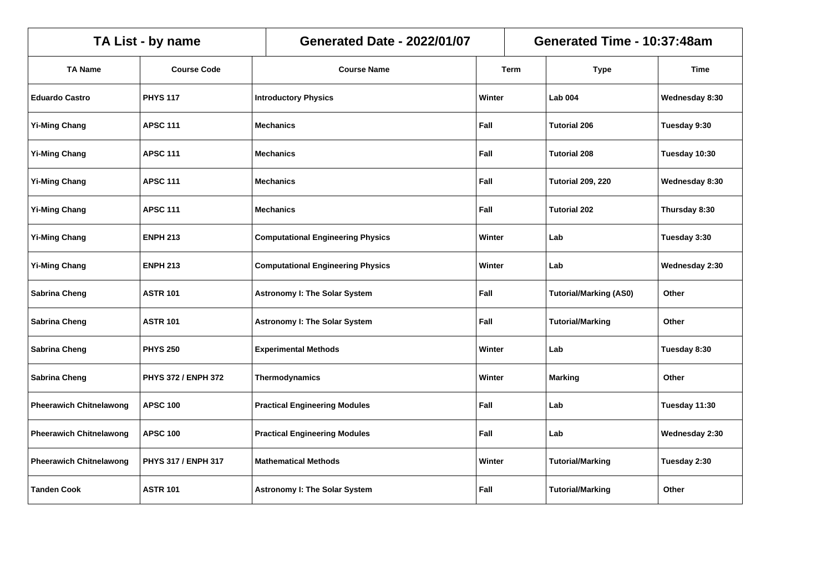|                                | TA List - by name   | <b>Generated Date - 2022/01/07</b><br>Generated Time - 10:37:48am |                                                    |        |        |                               |                |
|--------------------------------|---------------------|-------------------------------------------------------------------|----------------------------------------------------|--------|--------|-------------------------------|----------------|
| <b>TA Name</b>                 | <b>Course Code</b>  |                                                                   | <b>Course Name</b>                                 |        | Term   | <b>Type</b>                   | <b>Time</b>    |
| <b>Eduardo Castro</b>          | <b>PHYS 117</b>     |                                                                   | <b>Introductory Physics</b>                        | Winter |        | <b>Lab 004</b>                | Wednesday 8:30 |
| <b>Yi-Ming Chang</b>           | <b>APSC 111</b>     |                                                                   | <b>Mechanics</b>                                   | Fall   |        | <b>Tutorial 206</b>           | Tuesday 9:30   |
| <b>Yi-Ming Chang</b>           | <b>APSC 111</b>     |                                                                   | <b>Mechanics</b>                                   | Fall   |        | <b>Tutorial 208</b>           | Tuesday 10:30  |
| <b>Yi-Ming Chang</b>           | <b>APSC 111</b>     |                                                                   | <b>Mechanics</b>                                   | Fall   |        | <b>Tutorial 209, 220</b>      | Wednesday 8:30 |
| <b>Yi-Ming Chang</b>           | <b>APSC 111</b>     |                                                                   | Fall<br><b>Mechanics</b>                           |        |        | <b>Tutorial 202</b>           | Thursday 8:30  |
| <b>Yi-Ming Chang</b>           | <b>ENPH 213</b>     |                                                                   | <b>Computational Engineering Physics</b><br>Winter |        |        | Lab                           | Tuesday 3:30   |
| <b>Yi-Ming Chang</b>           | <b>ENPH 213</b>     |                                                                   | <b>Computational Engineering Physics</b>           |        | Winter | Lab                           | Wednesday 2:30 |
| Sabrina Cheng                  | <b>ASTR 101</b>     |                                                                   | <b>Astronomy I: The Solar System</b>               |        |        | <b>Tutorial/Marking (AS0)</b> | Other          |
| <b>Sabrina Cheng</b>           | <b>ASTR 101</b>     |                                                                   | <b>Astronomy I: The Solar System</b>               | Fall   |        | <b>Tutorial/Marking</b>       | Other          |
| Sabrina Cheng                  | <b>PHYS 250</b>     |                                                                   | <b>Experimental Methods</b>                        | Winter |        | Lab                           | Tuesday 8:30   |
| <b>Sabrina Cheng</b>           | PHYS 372 / ENPH 372 |                                                                   | Thermodynamics                                     | Winter |        | <b>Marking</b>                | Other          |
| <b>Pheerawich Chitnelawong</b> | <b>APSC 100</b>     |                                                                   | <b>Practical Engineering Modules</b>               | Fall   |        | Lab                           | Tuesday 11:30  |
| <b>Pheerawich Chitnelawong</b> | <b>APSC 100</b>     |                                                                   | <b>Practical Engineering Modules</b>               | Fall   |        | Lab                           | Wednesday 2:30 |
| <b>Pheerawich Chitnelawong</b> | PHYS 317 / ENPH 317 |                                                                   | <b>Mathematical Methods</b>                        | Winter |        | <b>Tutorial/Marking</b>       | Tuesday 2:30   |
| <b>Tanden Cook</b>             | <b>ASTR 101</b>     |                                                                   | <b>Astronomy I: The Solar System</b>               | Fall   |        | <b>Tutorial/Marking</b>       | Other          |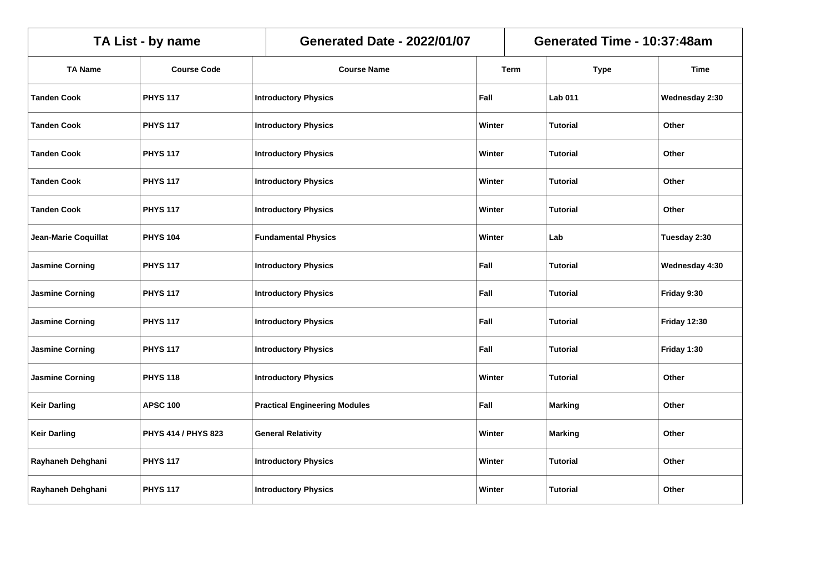|                        | TA List - by name   | Generated Time - 10:37:48am<br><b>Generated Date - 2022/01/07</b> |        |      |                 |                     |
|------------------------|---------------------|-------------------------------------------------------------------|--------|------|-----------------|---------------------|
| <b>TA Name</b>         | <b>Course Code</b>  | <b>Course Name</b>                                                |        | Term | <b>Type</b>     | <b>Time</b>         |
| <b>Tanden Cook</b>     | <b>PHYS 117</b>     | <b>Introductory Physics</b>                                       | Fall   |      | <b>Lab 011</b>  | Wednesday 2:30      |
| <b>Tanden Cook</b>     | <b>PHYS 117</b>     | <b>Introductory Physics</b>                                       | Winter |      | <b>Tutorial</b> | Other               |
| <b>Tanden Cook</b>     | <b>PHYS 117</b>     | <b>Introductory Physics</b>                                       | Winter |      | <b>Tutorial</b> | Other               |
| <b>Tanden Cook</b>     | <b>PHYS 117</b>     | <b>Introductory Physics</b>                                       | Winter |      | <b>Tutorial</b> | Other               |
| <b>Tanden Cook</b>     | <b>PHYS 117</b>     | <b>Introductory Physics</b>                                       | Winter |      | <b>Tutorial</b> | Other               |
| Jean-Marie Coquillat   | <b>PHYS 104</b>     | Winter<br><b>Fundamental Physics</b>                              |        |      | Lab             | Tuesday 2:30        |
| <b>Jasmine Corning</b> | <b>PHYS 117</b>     | Fall<br><b>Introductory Physics</b>                               |        |      | Tutorial        | Wednesday 4:30      |
| <b>Jasmine Corning</b> | <b>PHYS 117</b>     | <b>Introductory Physics</b>                                       | Fall   |      | <b>Tutorial</b> | Friday 9:30         |
| <b>Jasmine Corning</b> | <b>PHYS 117</b>     | <b>Introductory Physics</b>                                       | Fall   |      | Tutorial        | <b>Friday 12:30</b> |
| <b>Jasmine Corning</b> | <b>PHYS 117</b>     | <b>Introductory Physics</b>                                       | Fall   |      | <b>Tutorial</b> | Friday 1:30         |
| <b>Jasmine Corning</b> | <b>PHYS 118</b>     | <b>Introductory Physics</b>                                       | Winter |      | <b>Tutorial</b> | Other               |
| <b>Keir Darling</b>    | <b>APSC 100</b>     | <b>Practical Engineering Modules</b>                              | Fall   |      | <b>Marking</b>  | Other               |
| <b>Keir Darling</b>    | PHYS 414 / PHYS 823 | <b>General Relativity</b>                                         | Winter |      | <b>Marking</b>  | Other               |
| Rayhaneh Dehghani      | <b>PHYS 117</b>     | <b>Introductory Physics</b>                                       | Winter |      | <b>Tutorial</b> | Other               |
| Rayhaneh Dehghani      | <b>PHYS 117</b>     | <b>Introductory Physics</b>                                       | Winter |      | <b>Tutorial</b> | Other               |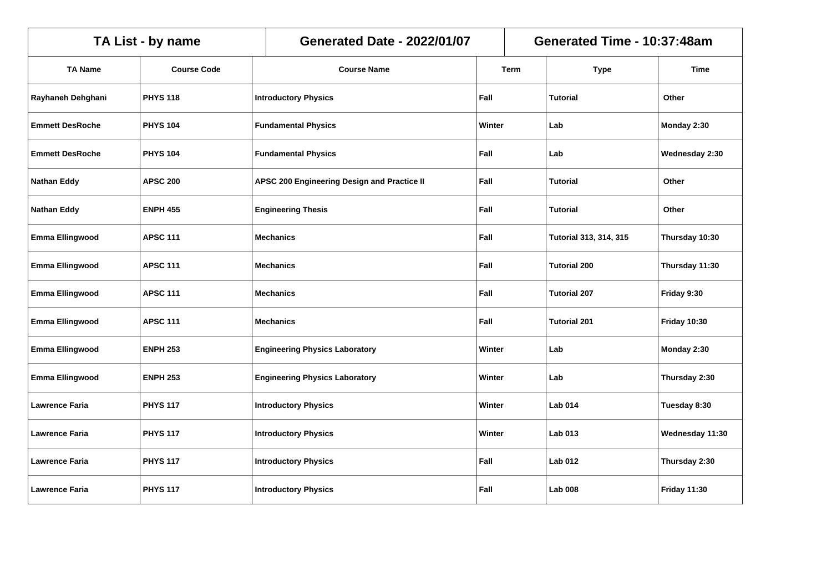|                        | Generated Time - 10:37:48am<br>TA List - by name<br><b>Generated Date - 2022/01/07</b> |                  |                                                     |        |             |                               |                     |
|------------------------|----------------------------------------------------------------------------------------|------------------|-----------------------------------------------------|--------|-------------|-------------------------------|---------------------|
| <b>TA Name</b>         | <b>Course Code</b>                                                                     |                  | <b>Course Name</b>                                  |        | <b>Term</b> | <b>Type</b>                   | <b>Time</b>         |
| Rayhaneh Dehghani      | <b>PHYS 118</b>                                                                        |                  | <b>Introductory Physics</b>                         | Fall   |             | <b>Tutorial</b>               | Other               |
| <b>Emmett DesRoche</b> | <b>PHYS 104</b>                                                                        |                  | <b>Fundamental Physics</b>                          | Winter |             | Lab                           | Monday 2:30         |
| <b>Emmett DesRoche</b> | <b>PHYS 104</b>                                                                        |                  | <b>Fundamental Physics</b>                          | Fall   |             | Lab                           | Wednesday 2:30      |
| <b>Nathan Eddy</b>     | <b>APSC 200</b>                                                                        |                  | Fall<br>APSC 200 Engineering Design and Practice II |        |             | <b>Tutorial</b>               | Other               |
| <b>Nathan Eddy</b>     | <b>ENPH 455</b>                                                                        |                  | <b>Engineering Thesis</b><br>Fall                   |        |             | <b>Tutorial</b>               | Other               |
| <b>Emma Ellingwood</b> | <b>APSC 111</b>                                                                        |                  | Fall<br><b>Mechanics</b>                            |        |             | <b>Tutorial 313, 314, 315</b> | Thursday 10:30      |
| <b>Emma Ellingwood</b> | <b>APSC 111</b>                                                                        |                  | Fall<br><b>Mechanics</b>                            |        |             | <b>Tutorial 200</b>           | Thursday 11:30      |
| <b>Emma Ellingwood</b> | <b>APSC 111</b>                                                                        |                  | Fall<br><b>Mechanics</b>                            |        |             | <b>Tutorial 207</b>           | Friday 9:30         |
| <b>Emma Ellingwood</b> | <b>APSC 111</b>                                                                        | <b>Mechanics</b> |                                                     | Fall   |             | <b>Tutorial 201</b>           | <b>Friday 10:30</b> |
| Emma Ellingwood        | <b>ENPH 253</b>                                                                        |                  | <b>Engineering Physics Laboratory</b>               | Winter |             | Lab                           | Monday 2:30         |
| <b>Emma Ellingwood</b> | <b>ENPH 253</b>                                                                        |                  | <b>Engineering Physics Laboratory</b>               | Winter |             | Lab                           | Thursday 2:30       |
| <b>Lawrence Faria</b>  | <b>PHYS 117</b>                                                                        |                  | <b>Introductory Physics</b>                         | Winter |             | <b>Lab 014</b>                | Tuesday 8:30        |
| <b>Lawrence Faria</b>  | <b>PHYS 117</b>                                                                        |                  | <b>Introductory Physics</b>                         | Winter |             | <b>Lab 013</b>                | Wednesday 11:30     |
| <b>Lawrence Faria</b>  | <b>PHYS 117</b>                                                                        |                  | <b>Introductory Physics</b>                         | Fall   |             | <b>Lab 012</b>                | Thursday 2:30       |
| <b>Lawrence Faria</b>  | <b>PHYS 117</b>                                                                        |                  | <b>Introductory Physics</b>                         | Fall   |             | <b>Lab 008</b>                | <b>Friday 11:30</b> |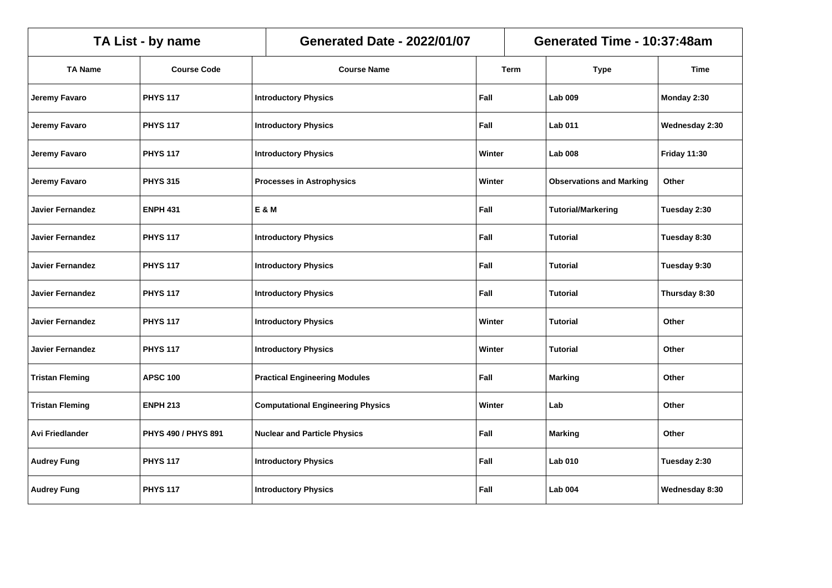|                         | TA List - by name   | <b>Generated Date - 2022/01/07</b>       |        |      | Generated Time - 10:37:48am     |                     |
|-------------------------|---------------------|------------------------------------------|--------|------|---------------------------------|---------------------|
| <b>TA Name</b>          | <b>Course Code</b>  | <b>Course Name</b>                       |        | Term | <b>Type</b>                     | <b>Time</b>         |
| Jeremy Favaro           | <b>PHYS 117</b>     | <b>Introductory Physics</b>              | Fall   |      | <b>Lab 009</b>                  | Monday 2:30         |
| Jeremy Favaro           | <b>PHYS 117</b>     | <b>Introductory Physics</b>              | Fall   |      | <b>Lab 011</b>                  | Wednesday 2:30      |
| Jeremy Favaro           | <b>PHYS 117</b>     | <b>Introductory Physics</b>              | Winter |      | <b>Lab 008</b>                  | <b>Friday 11:30</b> |
| Jeremy Favaro           | <b>PHYS 315</b>     | <b>Processes in Astrophysics</b>         | Winter |      | <b>Observations and Marking</b> | Other               |
| <b>Javier Fernandez</b> | <b>ENPH 431</b>     | E & M<br>Fall                            |        |      | <b>Tutorial/Markering</b>       | Tuesday 2:30        |
| <b>Javier Fernandez</b> | <b>PHYS 117</b>     | <b>Introductory Physics</b><br>Fall      |        |      | <b>Tutorial</b>                 | Tuesday 8:30        |
| <b>Javier Fernandez</b> | <b>PHYS 117</b>     | <b>Introductory Physics</b><br>Fall      |        |      | Tutorial                        | Tuesday 9:30        |
| <b>Javier Fernandez</b> | <b>PHYS 117</b>     | <b>Introductory Physics</b>              | Fall   |      | <b>Tutorial</b>                 | Thursday 8:30       |
| <b>Javier Fernandez</b> | <b>PHYS 117</b>     | <b>Introductory Physics</b>              | Winter |      | <b>Tutorial</b>                 | Other               |
| <b>Javier Fernandez</b> | <b>PHYS 117</b>     | <b>Introductory Physics</b>              | Winter |      | Tutorial                        | Other               |
| <b>Tristan Fleming</b>  | <b>APSC 100</b>     | <b>Practical Engineering Modules</b>     | Fall   |      | <b>Marking</b>                  | Other               |
| <b>Tristan Fleming</b>  | <b>ENPH 213</b>     | <b>Computational Engineering Physics</b> | Winter |      | Lab                             | Other               |
| <b>Avi Friedlander</b>  | PHYS 490 / PHYS 891 | <b>Nuclear and Particle Physics</b>      | Fall   |      | <b>Marking</b>                  | Other               |
| <b>Audrey Fung</b>      | <b>PHYS 117</b>     | <b>Introductory Physics</b>              | Fall   |      | <b>Lab 010</b>                  | Tuesday 2:30        |
| <b>Audrey Fung</b>      | <b>PHYS 117</b>     | <b>Introductory Physics</b>              | Fall   |      | <b>Lab 004</b>                  | Wednesday 8:30      |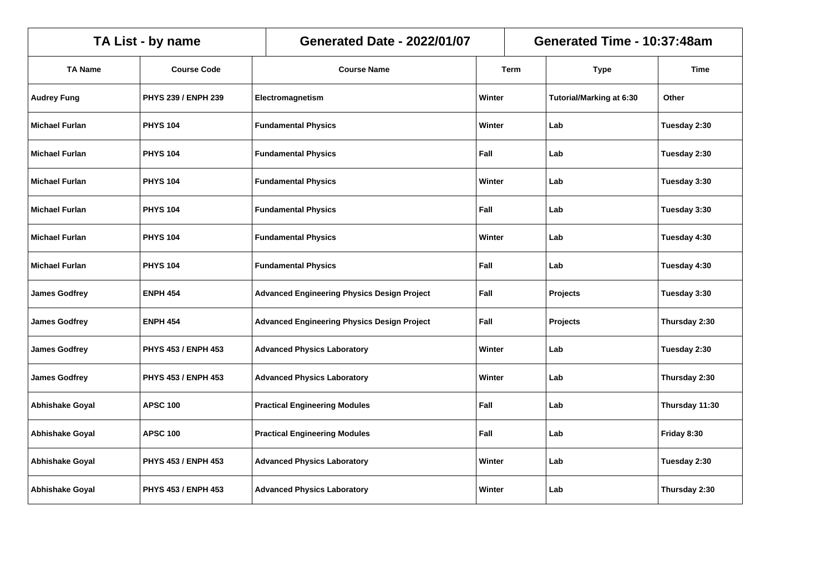|                        | TA List - by name   | Generated Time - 10:37:48am<br><b>Generated Date - 2022/01/07</b> |        |             |                          |                |
|------------------------|---------------------|-------------------------------------------------------------------|--------|-------------|--------------------------|----------------|
| <b>TA Name</b>         | <b>Course Code</b>  | <b>Course Name</b>                                                |        | <b>Term</b> | <b>Type</b>              | <b>Time</b>    |
| <b>Audrey Fung</b>     | PHYS 239 / ENPH 239 | Electromagnetism                                                  | Winter |             | Tutorial/Marking at 6:30 | Other          |
| <b>Michael Furlan</b>  | <b>PHYS 104</b>     | <b>Fundamental Physics</b>                                        | Winter |             | Lab                      | Tuesday 2:30   |
| <b>Michael Furlan</b>  | <b>PHYS 104</b>     | <b>Fundamental Physics</b>                                        | Fall   |             | Lab                      | Tuesday 2:30   |
| Michael Furlan         | <b>PHYS 104</b>     | <b>Fundamental Physics</b>                                        | Winter |             | Lab                      | Tuesday 3:30   |
| <b>Michael Furlan</b>  | <b>PHYS 104</b>     | <b>Fundamental Physics</b>                                        | Fall   |             | Lab                      | Tuesday 3:30   |
| <b>Michael Furlan</b>  | <b>PHYS 104</b>     | <b>Fundamental Physics</b><br>Winter                              |        |             | Lab                      | Tuesday 4:30   |
| Michael Furlan         | <b>PHYS 104</b>     | Fall<br><b>Fundamental Physics</b>                                |        |             | Lab                      | Tuesday 4:30   |
| <b>James Godfrey</b>   | <b>ENPH 454</b>     | <b>Advanced Engineering Physics Design Project</b>                | Fall   |             | Projects                 | Tuesday 3:30   |
| <b>James Godfrey</b>   | <b>ENPH 454</b>     | <b>Advanced Engineering Physics Design Project</b>                | Fall   |             | Projects                 | Thursday 2:30  |
| <b>James Godfrey</b>   | PHYS 453 / ENPH 453 | <b>Advanced Physics Laboratory</b>                                | Winter |             | Lab                      | Tuesday 2:30   |
| <b>James Godfrey</b>   | PHYS 453 / ENPH 453 | <b>Advanced Physics Laboratory</b>                                | Winter |             | Lab                      | Thursday 2:30  |
| <b>Abhishake Goyal</b> | <b>APSC 100</b>     | <b>Practical Engineering Modules</b>                              | Fall   |             | Lab                      | Thursday 11:30 |
| <b>Abhishake Goyal</b> | <b>APSC 100</b>     | <b>Practical Engineering Modules</b>                              | Fall   |             | Lab                      | Friday 8:30    |
| Abhishake Goyal        | PHYS 453 / ENPH 453 | <b>Advanced Physics Laboratory</b>                                | Winter |             | Lab                      | Tuesday 2:30   |
| <b>Abhishake Goyal</b> | PHYS 453 / ENPH 453 | <b>Advanced Physics Laboratory</b>                                | Winter |             | Lab                      | Thursday 2:30  |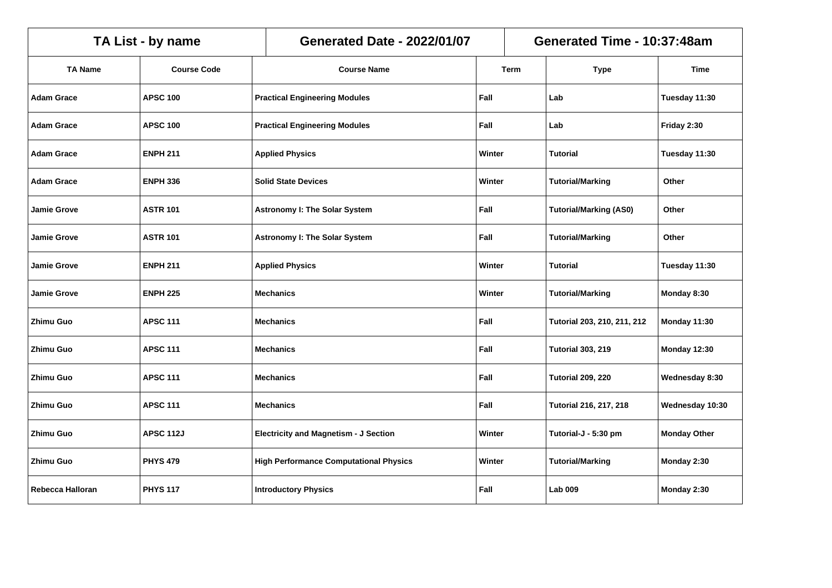|                    | TA List - by name  | Generated Time - 10:37:48am<br><b>Generated Date - 2022/01/07</b> |        |        |                               |                     |
|--------------------|--------------------|-------------------------------------------------------------------|--------|--------|-------------------------------|---------------------|
| <b>TA Name</b>     | <b>Course Code</b> | <b>Course Name</b>                                                |        | Term   | <b>Type</b>                   | <b>Time</b>         |
| Adam Grace         | <b>APSC 100</b>    | <b>Practical Engineering Modules</b>                              | Fall   |        | Lab                           | Tuesday 11:30       |
| <b>Adam Grace</b>  | <b>APSC 100</b>    | <b>Practical Engineering Modules</b>                              | Fall   |        | Lab                           | Friday 2:30         |
| <b>Adam Grace</b>  | <b>ENPH 211</b>    | <b>Applied Physics</b>                                            | Winter |        | <b>Tutorial</b>               | Tuesday 11:30       |
| Adam Grace         | <b>ENPH 336</b>    | <b>Solid State Devices</b>                                        | Winter |        | <b>Tutorial/Marking</b>       | Other               |
| <b>Jamie Grove</b> | <b>ASTR 101</b>    | <b>Astronomy I: The Solar System</b><br>Fall                      |        |        | <b>Tutorial/Marking (AS0)</b> | Other               |
| <b>Jamie Grove</b> | <b>ASTR 101</b>    | Fall<br><b>Astronomy I: The Solar System</b>                      |        |        | <b>Tutorial/Marking</b>       | Other               |
| <b>Jamie Grove</b> | <b>ENPH 211</b>    | <b>Applied Physics</b>                                            |        | Winter | Tutorial                      | Tuesday 11:30       |
| <b>Jamie Grove</b> | <b>ENPH 225</b>    | <b>Mechanics</b>                                                  | Winter |        | <b>Tutorial/Marking</b>       | Monday 8:30         |
| Zhimu Guo          | <b>APSC 111</b>    | <b>Mechanics</b>                                                  | Fall   |        | Tutorial 203, 210, 211, 212   | Monday 11:30        |
| <b>Zhimu Guo</b>   | <b>APSC 111</b>    | <b>Mechanics</b>                                                  | Fall   |        | <b>Tutorial 303, 219</b>      | Monday 12:30        |
| Zhimu Guo          | <b>APSC 111</b>    | <b>Mechanics</b>                                                  | Fall   |        | <b>Tutorial 209, 220</b>      | Wednesday 8:30      |
| Zhimu Guo          | <b>APSC 111</b>    | <b>Mechanics</b>                                                  | Fall   |        | <b>Tutorial 216, 217, 218</b> | Wednesday 10:30     |
| Zhimu Guo          | <b>APSC 112J</b>   | <b>Electricity and Magnetism - J Section</b>                      | Winter |        | Tutorial-J - 5:30 pm          | <b>Monday Other</b> |
| Zhimu Guo          | <b>PHYS 479</b>    | <b>High Performance Computational Physics</b>                     | Winter |        | <b>Tutorial/Marking</b>       | Monday 2:30         |
| Rebecca Halloran   | <b>PHYS 117</b>    | <b>Introductory Physics</b>                                       | Fall   |        | <b>Lab 009</b>                | Monday 2:30         |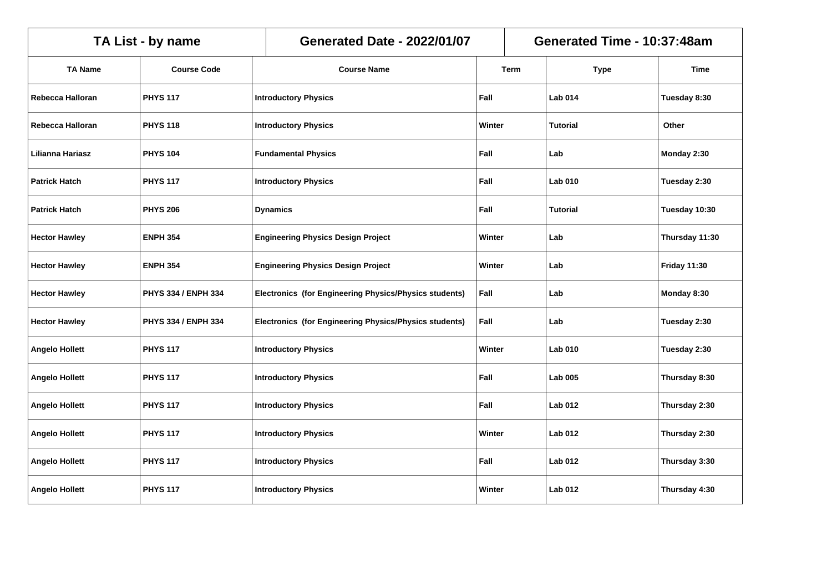|                       | TA List - by name   | <b>Generated Date - 2022/01/07</b> |                                                        |        | Generated Time - 10:37:48am |                 |                     |
|-----------------------|---------------------|------------------------------------|--------------------------------------------------------|--------|-----------------------------|-----------------|---------------------|
| <b>TA Name</b>        | <b>Course Code</b>  |                                    | <b>Course Name</b>                                     |        | Term                        | <b>Type</b>     | <b>Time</b>         |
| Rebecca Halloran      | <b>PHYS 117</b>     |                                    | <b>Introductory Physics</b>                            | Fall   |                             | <b>Lab 014</b>  | Tuesday 8:30        |
| Rebecca Halloran      | <b>PHYS 118</b>     |                                    | <b>Introductory Physics</b>                            | Winter |                             | <b>Tutorial</b> | Other               |
| Lilianna Hariasz      | <b>PHYS 104</b>     |                                    | <b>Fundamental Physics</b>                             | Fall   |                             | Lab             | Monday 2:30         |
| <b>Patrick Hatch</b>  | <b>PHYS 117</b>     |                                    | <b>Introductory Physics</b>                            | Fall   |                             | <b>Lab 010</b>  | Tuesday 2:30        |
| <b>Patrick Hatch</b>  | <b>PHYS 206</b>     |                                    | Fall<br><b>Dynamics</b>                                |        |                             | <b>Tutorial</b> | Tuesday 10:30       |
| <b>Hector Hawley</b>  | <b>ENPH 354</b>     |                                    | <b>Engineering Physics Design Project</b><br>Winter    |        |                             | Lab             | Thursday 11:30      |
| <b>Hector Hawley</b>  | <b>ENPH 354</b>     |                                    | <b>Engineering Physics Design Project</b><br>Winter    |        |                             | Lab             | <b>Friday 11:30</b> |
| <b>Hector Hawley</b>  | PHYS 334 / ENPH 334 |                                    | Electronics (for Engineering Physics/Physics students) |        |                             | Lab             | Monday 8:30         |
| <b>Hector Hawley</b>  | PHYS 334 / ENPH 334 |                                    | Electronics (for Engineering Physics/Physics students) | Fall   |                             | Lab             | Tuesday 2:30        |
| <b>Angelo Hollett</b> | <b>PHYS 117</b>     |                                    | <b>Introductory Physics</b>                            | Winter |                             | <b>Lab 010</b>  | Tuesday 2:30        |
| <b>Angelo Hollett</b> | <b>PHYS 117</b>     |                                    | <b>Introductory Physics</b>                            | Fall   |                             | <b>Lab 005</b>  | Thursday 8:30       |
| <b>Angelo Hollett</b> | <b>PHYS 117</b>     |                                    | <b>Introductory Physics</b>                            | Fall   |                             | <b>Lab 012</b>  | Thursday 2:30       |
| <b>Angelo Hollett</b> | <b>PHYS 117</b>     |                                    | <b>Introductory Physics</b>                            | Winter |                             | <b>Lab 012</b>  | Thursday 2:30       |
| <b>Angelo Hollett</b> | <b>PHYS 117</b>     |                                    | <b>Introductory Physics</b>                            | Fall   |                             | <b>Lab 012</b>  | Thursday 3:30       |
| <b>Angelo Hollett</b> | <b>PHYS 117</b>     |                                    | <b>Introductory Physics</b>                            | Winter |                             | <b>Lab 012</b>  | Thursday 4:30       |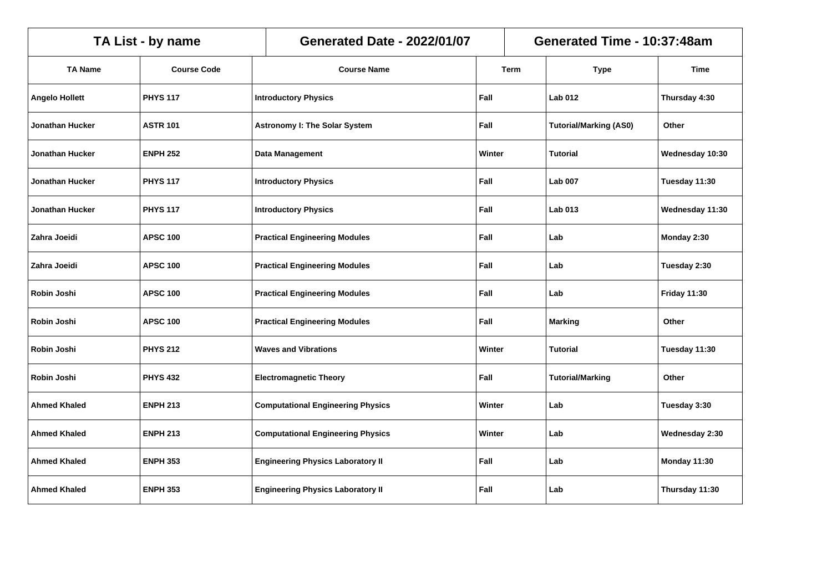| TA List - by name      |                    |                        | <b>Generated Date - 2022/01/07</b>           |        |             | Generated Time - 10:37:48am   |                     |  |  |
|------------------------|--------------------|------------------------|----------------------------------------------|--------|-------------|-------------------------------|---------------------|--|--|
| <b>TA Name</b>         | <b>Course Code</b> |                        | <b>Course Name</b>                           |        | <b>Term</b> | <b>Type</b>                   | Time                |  |  |
| <b>Angelo Hollett</b>  | <b>PHYS 117</b>    |                        | <b>Introductory Physics</b>                  | Fall   |             | <b>Lab 012</b>                | Thursday 4:30       |  |  |
| <b>Jonathan Hucker</b> | <b>ASTR 101</b>    |                        | <b>Astronomy I: The Solar System</b>         | Fall   |             | <b>Tutorial/Marking (AS0)</b> | Other               |  |  |
| <b>Jonathan Hucker</b> | <b>ENPH 252</b>    | <b>Data Management</b> |                                              | Winter |             | <b>Tutorial</b>               | Wednesday 10:30     |  |  |
| <b>Jonathan Hucker</b> | <b>PHYS 117</b>    |                        | Fall<br><b>Introductory Physics</b>          |        |             | <b>Lab 007</b>                | Tuesday 11:30       |  |  |
| <b>Jonathan Hucker</b> | <b>PHYS 117</b>    |                        | <b>Introductory Physics</b><br>Fall          |        |             | <b>Lab 013</b>                | Wednesday 11:30     |  |  |
| Zahra Joeidi           | <b>APSC 100</b>    |                        | Fall<br><b>Practical Engineering Modules</b> |        |             | Lab                           | Monday 2:30         |  |  |
| Zahra Joeidi           | <b>APSC 100</b>    |                        | Fall<br><b>Practical Engineering Modules</b> |        |             | Lab                           | Tuesday 2:30        |  |  |
| Robin Joshi            | <b>APSC 100</b>    |                        | Fall<br><b>Practical Engineering Modules</b> |        |             | Lab                           | <b>Friday 11:30</b> |  |  |
| Robin Joshi            | <b>APSC 100</b>    |                        | <b>Practical Engineering Modules</b>         | Fall   |             | <b>Marking</b>                | Other               |  |  |
| Robin Joshi            | <b>PHYS 212</b>    |                        | <b>Waves and Vibrations</b>                  | Winter |             | <b>Tutorial</b>               | Tuesday 11:30       |  |  |
| Robin Joshi            | <b>PHYS 432</b>    |                        | <b>Electromagnetic Theory</b>                | Fall   |             | <b>Tutorial/Marking</b>       | Other               |  |  |
| <b>Ahmed Khaled</b>    | <b>ENPH 213</b>    |                        | <b>Computational Engineering Physics</b>     | Winter |             | Lab                           | Tuesday 3:30        |  |  |
| <b>Ahmed Khaled</b>    | <b>ENPH 213</b>    |                        | <b>Computational Engineering Physics</b>     | Winter |             | Lab                           | Wednesday 2:30      |  |  |
| <b>Ahmed Khaled</b>    | <b>ENPH 353</b>    |                        | <b>Engineering Physics Laboratory II</b>     |        |             | Lab                           | Monday 11:30        |  |  |
| <b>Ahmed Khaled</b>    | <b>ENPH 353</b>    |                        | <b>Engineering Physics Laboratory II</b>     | Fall   |             | Lab                           | Thursday 11:30      |  |  |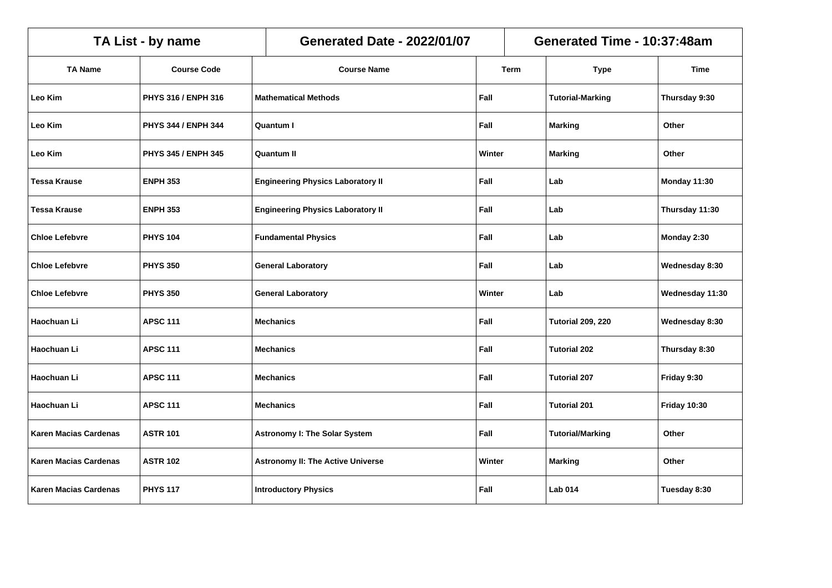|                              | TA List - by name   | <b>Generated Date - 2022/01/07</b>               |        |      | Generated Time - 10:37:48am |                     |  |  |
|------------------------------|---------------------|--------------------------------------------------|--------|------|-----------------------------|---------------------|--|--|
| <b>TA Name</b>               | <b>Course Code</b>  | <b>Course Name</b>                               |        | Term | <b>Type</b>                 | <b>Time</b>         |  |  |
| Leo Kim                      | PHYS 316 / ENPH 316 | <b>Mathematical Methods</b>                      | Fall   |      | <b>Tutorial-Marking</b>     | Thursday 9:30       |  |  |
| Leo Kim                      | PHYS 344 / ENPH 344 | <b>Quantum I</b>                                 | Fall   |      | <b>Marking</b>              | Other               |  |  |
| Leo Kim                      | PHYS 345 / ENPH 345 | <b>Quantum II</b>                                | Winter |      | <b>Marking</b>              | Other               |  |  |
| <b>Tessa Krause</b>          | <b>ENPH 353</b>     | <b>Engineering Physics Laboratory II</b>         | Fall   |      | Lab                         | Monday 11:30        |  |  |
| <b>Tessa Krause</b>          | <b>ENPH 353</b>     | <b>Engineering Physics Laboratory II</b><br>Fall |        |      | Lab                         | Thursday 11:30      |  |  |
| <b>Chloe Lefebvre</b>        | <b>PHYS 104</b>     | <b>Fundamental Physics</b><br>Fall               |        |      | Lab                         | Monday 2:30         |  |  |
| <b>Chloe Lefebvre</b>        | <b>PHYS 350</b>     | Fall<br><b>General Laboratory</b>                |        |      | Lab                         | Wednesday 8:30      |  |  |
| <b>Chloe Lefebvre</b>        | <b>PHYS 350</b>     | <b>General Laboratory</b>                        | Winter |      | Lab                         | Wednesday 11:30     |  |  |
| Haochuan Li                  | <b>APSC 111</b>     | <b>Mechanics</b>                                 | Fall   |      | <b>Tutorial 209, 220</b>    | Wednesday 8:30      |  |  |
| Haochuan Li                  | <b>APSC 111</b>     | <b>Mechanics</b>                                 | Fall   |      | <b>Tutorial 202</b>         | Thursday 8:30       |  |  |
| Haochuan Li                  | <b>APSC 111</b>     | <b>Mechanics</b>                                 | Fall   |      | <b>Tutorial 207</b>         | Friday 9:30         |  |  |
| Haochuan Li                  | <b>APSC 111</b>     | <b>Mechanics</b>                                 | Fall   |      | <b>Tutorial 201</b>         | <b>Friday 10:30</b> |  |  |
| <b>Karen Macias Cardenas</b> | <b>ASTR 101</b>     | <b>Astronomy I: The Solar System</b>             | Fall   |      | <b>Tutorial/Marking</b>     | Other               |  |  |
| Karen Macias Cardenas        | <b>ASTR 102</b>     | <b>Astronomy II: The Active Universe</b>         | Winter |      | <b>Marking</b>              | Other               |  |  |
| <b>Karen Macias Cardenas</b> | <b>PHYS 117</b>     | <b>Introductory Physics</b>                      | Fall   |      | <b>Lab 014</b>              | Tuesday 8:30        |  |  |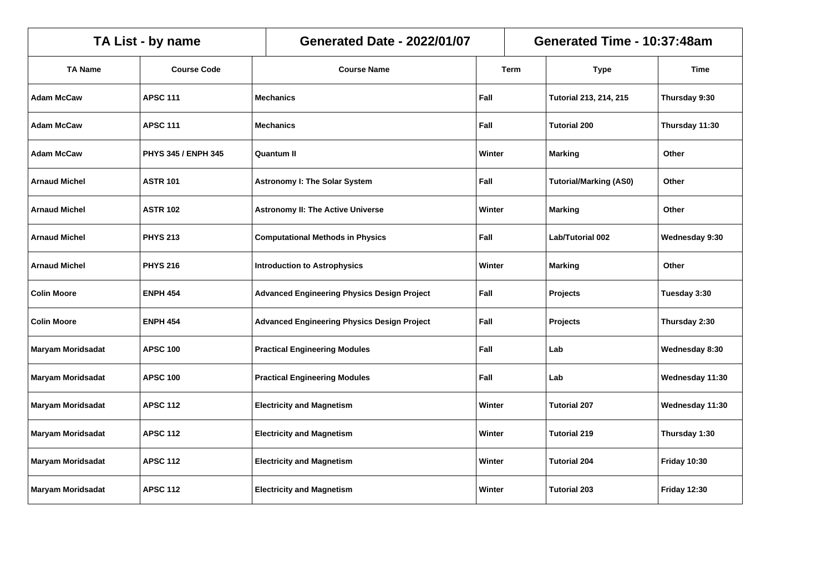| TA List - by name        |                     |  | <b>Generated Date - 2022/01/07</b>                         |        |        | Generated Time - 10:37:48am   |                     |  |  |
|--------------------------|---------------------|--|------------------------------------------------------------|--------|--------|-------------------------------|---------------------|--|--|
| <b>TA Name</b>           | <b>Course Code</b>  |  | <b>Course Name</b>                                         |        | Term   | <b>Type</b>                   | Time                |  |  |
| <b>Adam McCaw</b>        | <b>APSC 111</b>     |  | <b>Mechanics</b>                                           | Fall   |        | <b>Tutorial 213, 214, 215</b> | Thursday 9:30       |  |  |
| <b>Adam McCaw</b>        | <b>APSC 111</b>     |  | <b>Mechanics</b>                                           | Fall   |        | <b>Tutorial 200</b>           | Thursday 11:30      |  |  |
| <b>Adam McCaw</b>        | PHYS 345 / ENPH 345 |  | <b>Quantum II</b>                                          | Winter |        | <b>Marking</b>                | Other               |  |  |
| <b>Arnaud Michel</b>     | <b>ASTR 101</b>     |  | <b>Astronomy I: The Solar System</b><br>Fall               |        |        | <b>Tutorial/Marking (AS0)</b> | Other               |  |  |
| <b>Arnaud Michel</b>     | <b>ASTR 102</b>     |  | <b>Astronomy II: The Active Universe</b><br>Winter         |        |        | Marking                       | Other               |  |  |
| <b>Arnaud Michel</b>     | <b>PHYS 213</b>     |  | Fall<br><b>Computational Methods in Physics</b>            |        |        | Lab/Tutorial 002              | Wednesday 9:30      |  |  |
| <b>Arnaud Michel</b>     | <b>PHYS 216</b>     |  | <b>Introduction to Astrophysics</b><br>Winter              |        |        | <b>Marking</b>                | Other               |  |  |
| <b>Colin Moore</b>       | <b>ENPH 454</b>     |  | Fall<br><b>Advanced Engineering Physics Design Project</b> |        |        | Projects                      | Tuesday 3:30        |  |  |
| <b>Colin Moore</b>       | <b>ENPH 454</b>     |  | <b>Advanced Engineering Physics Design Project</b>         | Fall   |        | <b>Projects</b>               | Thursday 2:30       |  |  |
| <b>Maryam Moridsadat</b> | <b>APSC 100</b>     |  | <b>Practical Engineering Modules</b>                       | Fall   |        | Lab                           | Wednesday 8:30      |  |  |
| <b>Maryam Moridsadat</b> | <b>APSC 100</b>     |  | <b>Practical Engineering Modules</b>                       | Fall   |        | Lab                           | Wednesday 11:30     |  |  |
| <b>Maryam Moridsadat</b> | <b>APSC 112</b>     |  | <b>Electricity and Magnetism</b>                           | Winter |        | <b>Tutorial 207</b>           | Wednesday 11:30     |  |  |
| Maryam Moridsadat        | <b>APSC 112</b>     |  | <b>Electricity and Magnetism</b>                           | Winter |        | <b>Tutorial 219</b>           | Thursday 1:30       |  |  |
| <b>Maryam Moridsadat</b> | <b>APSC 112</b>     |  | <b>Electricity and Magnetism</b>                           |        | Winter | <b>Tutorial 204</b>           | <b>Friday 10:30</b> |  |  |
| <b>Maryam Moridsadat</b> | <b>APSC 112</b>     |  | <b>Electricity and Magnetism</b>                           | Winter |        | <b>Tutorial 203</b>           | <b>Friday 12:30</b> |  |  |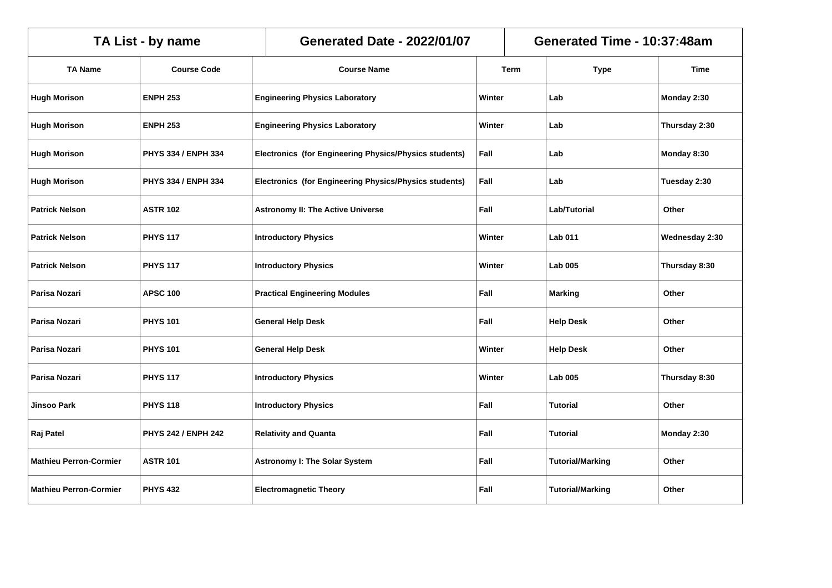|                               | TA List - by name          | <b>Generated Date - 2022/01/07</b>                     |  | Generated Time - 10:37:48am |                         |                |  |
|-------------------------------|----------------------------|--------------------------------------------------------|--|-----------------------------|-------------------------|----------------|--|
| <b>TA Name</b>                | <b>Course Code</b>         | <b>Course Name</b>                                     |  | Term                        | <b>Type</b>             | Time           |  |
| <b>Hugh Morison</b>           | <b>ENPH 253</b>            | <b>Engineering Physics Laboratory</b>                  |  | Winter                      | Lab                     | Monday 2:30    |  |
| <b>Hugh Morison</b>           | <b>ENPH 253</b>            | <b>Engineering Physics Laboratory</b>                  |  | Winter                      | Lab                     | Thursday 2:30  |  |
| <b>Hugh Morison</b>           | PHYS 334 / ENPH 334        | Electronics (for Engineering Physics/Physics students) |  | Fall                        | Lab                     | Monday 8:30    |  |
| <b>Hugh Morison</b>           | PHYS 334 / ENPH 334        | Electronics (for Engineering Physics/Physics students) |  | Fall                        | Lab                     | Tuesday 2:30   |  |
| <b>Patrick Nelson</b>         | <b>ASTR 102</b>            | <b>Astronomy II: The Active Universe</b>               |  | Fall                        | Lab/Tutorial            | Other          |  |
| <b>Patrick Nelson</b>         | <b>PHYS 117</b>            | <b>Introductory Physics</b>                            |  | Winter                      | <b>Lab 011</b>          | Wednesday 2:30 |  |
| <b>Patrick Nelson</b>         | <b>PHYS 117</b>            | <b>Introductory Physics</b>                            |  | Winter                      | <b>Lab 005</b>          | Thursday 8:30  |  |
| Parisa Nozari                 | <b>APSC 100</b>            | <b>Practical Engineering Modules</b>                   |  | Fall                        | <b>Marking</b>          | Other          |  |
| Parisa Nozari                 | <b>PHYS 101</b>            | <b>General Help Desk</b>                               |  | Fall                        | <b>Help Desk</b>        | Other          |  |
| Parisa Nozari                 | <b>PHYS 101</b>            | <b>General Help Desk</b>                               |  | Winter                      | <b>Help Desk</b>        | Other          |  |
| Parisa Nozari                 | <b>PHYS 117</b>            | <b>Introductory Physics</b>                            |  | Winter                      | <b>Lab 005</b>          | Thursday 8:30  |  |
| Jinsoo Park                   | <b>PHYS 118</b>            | <b>Introductory Physics</b>                            |  | Fall                        | Tutorial                | Other          |  |
| Raj Patel                     | <b>PHYS 242 / ENPH 242</b> | <b>Relativity and Quanta</b>                           |  | Fall                        | <b>Tutorial</b>         | Monday 2:30    |  |
| <b>Mathieu Perron-Cormier</b> | <b>ASTR 101</b>            | <b>Astronomy I: The Solar System</b>                   |  | Fall                        | <b>Tutorial/Marking</b> | Other          |  |
| <b>Mathieu Perron-Cormier</b> | <b>PHYS 432</b>            | <b>Electromagnetic Theory</b>                          |  | Fall                        | <b>Tutorial/Marking</b> | Other          |  |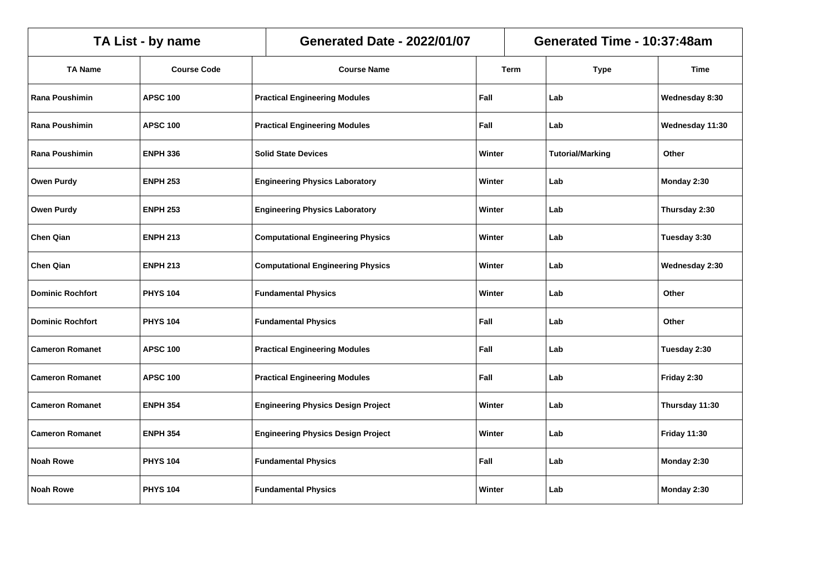|                         | TA List - by name  | <b>Generated Date - 2022/01/07</b>              | Generated Time - 10:37:48am |             |                         |                     |
|-------------------------|--------------------|-------------------------------------------------|-----------------------------|-------------|-------------------------|---------------------|
| <b>TA Name</b>          | <b>Course Code</b> | <b>Course Name</b>                              |                             | <b>Term</b> | <b>Type</b>             | <b>Time</b>         |
| Rana Poushimin          | <b>APSC 100</b>    | <b>Practical Engineering Modules</b>            | Fall                        |             | Lab                     | Wednesday 8:30      |
| <b>Rana Poushimin</b>   | <b>APSC 100</b>    | <b>Practical Engineering Modules</b>            | Fall                        |             | Lab                     | Wednesday 11:30     |
| Rana Poushimin          | <b>ENPH 336</b>    | <b>Solid State Devices</b>                      | Winter                      |             | <b>Tutorial/Marking</b> | Other               |
| <b>Owen Purdy</b>       | <b>ENPH 253</b>    | <b>Engineering Physics Laboratory</b>           | Winter                      |             | Lab                     | Monday 2:30         |
| <b>Owen Purdy</b>       | <b>ENPH 253</b>    | <b>Engineering Physics Laboratory</b><br>Winter |                             |             | Lab                     | Thursday 2:30       |
| <b>Chen Qian</b>        | <b>ENPH 213</b>    | <b>Computational Engineering Physics</b>        |                             | Winter      | Lab                     | Tuesday 3:30        |
| <b>Chen Qian</b>        | <b>ENPH 213</b>    | <b>Computational Engineering Physics</b>        |                             | Winter      | Lab                     | Wednesday 2:30      |
| <b>Dominic Rochfort</b> | <b>PHYS 104</b>    | <b>Fundamental Physics</b>                      | Winter                      |             | Lab                     | Other               |
| <b>Dominic Rochfort</b> | <b>PHYS 104</b>    | <b>Fundamental Physics</b>                      | Fall                        |             | Lab                     | Other               |
| <b>Cameron Romanet</b>  | <b>APSC 100</b>    | <b>Practical Engineering Modules</b>            | Fall                        |             | Lab                     | Tuesday 2:30        |
| <b>Cameron Romanet</b>  | <b>APSC 100</b>    | <b>Practical Engineering Modules</b>            | Fall                        |             | Lab                     | Friday 2:30         |
| <b>Cameron Romanet</b>  | <b>ENPH 354</b>    | <b>Engineering Physics Design Project</b>       | Winter                      |             | Lab                     | Thursday 11:30      |
| <b>Cameron Romanet</b>  | <b>ENPH 354</b>    | <b>Engineering Physics Design Project</b>       | Winter                      |             | Lab                     | <b>Friday 11:30</b> |
| <b>Noah Rowe</b>        | <b>PHYS 104</b>    | <b>Fundamental Physics</b>                      | Fall                        |             | Lab                     | Monday 2:30         |
| <b>Noah Rowe</b>        | <b>PHYS 104</b>    | <b>Fundamental Physics</b>                      | Winter                      |             | Lab                     | Monday 2:30         |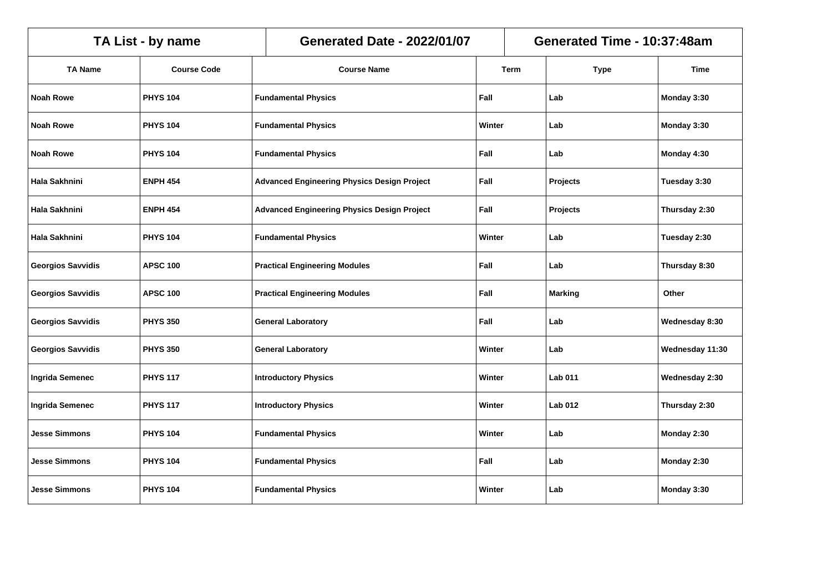| TA List - by name        |                    |  | <b>Generated Date - 2022/01/07</b>                         |        |      | Generated Time - 10:37:48am |                 |  |  |
|--------------------------|--------------------|--|------------------------------------------------------------|--------|------|-----------------------------|-----------------|--|--|
| <b>TA Name</b>           | <b>Course Code</b> |  | <b>Course Name</b>                                         |        | Term | <b>Type</b>                 | Time            |  |  |
| <b>Noah Rowe</b>         | <b>PHYS 104</b>    |  | <b>Fundamental Physics</b>                                 | Fall   |      | Lab                         | Monday 3:30     |  |  |
| <b>Noah Rowe</b>         | <b>PHYS 104</b>    |  | <b>Fundamental Physics</b>                                 | Winter |      | Lab                         | Monday 3:30     |  |  |
| <b>Noah Rowe</b>         | <b>PHYS 104</b>    |  | <b>Fundamental Physics</b>                                 | Fall   |      | Lab                         | Monday 4:30     |  |  |
| Hala Sakhnini            | <b>ENPH 454</b>    |  | <b>Advanced Engineering Physics Design Project</b>         | Fall   |      | Projects                    | Tuesday 3:30    |  |  |
| Hala Sakhnini            | <b>ENPH 454</b>    |  | Fall<br><b>Advanced Engineering Physics Design Project</b> |        |      | <b>Projects</b>             | Thursday 2:30   |  |  |
| Hala Sakhnini            | <b>PHYS 104</b>    |  | <b>Fundamental Physics</b><br>Winter                       |        |      | Lab                         | Tuesday 2:30    |  |  |
| <b>Georgios Savvidis</b> | <b>APSC 100</b>    |  | <b>Practical Engineering Modules</b><br>Fall               |        |      | Lab                         | Thursday 8:30   |  |  |
| <b>Georgios Savvidis</b> | <b>APSC 100</b>    |  | Fall<br><b>Practical Engineering Modules</b>               |        |      | <b>Marking</b>              | Other           |  |  |
| <b>Georgios Savvidis</b> | <b>PHYS 350</b>    |  | <b>General Laboratory</b>                                  | Fall   |      | Lab                         | Wednesday 8:30  |  |  |
| <b>Georgios Savvidis</b> | <b>PHYS 350</b>    |  | <b>General Laboratory</b>                                  | Winter |      | Lab                         | Wednesday 11:30 |  |  |
| <b>Ingrida Semenec</b>   | <b>PHYS 117</b>    |  | <b>Introductory Physics</b>                                | Winter |      | <b>Lab 011</b>              | Wednesday 2:30  |  |  |
| <b>Ingrida Semenec</b>   | <b>PHYS 117</b>    |  | <b>Introductory Physics</b>                                | Winter |      | <b>Lab 012</b>              | Thursday 2:30   |  |  |
| <b>Jesse Simmons</b>     | <b>PHYS 104</b>    |  | <b>Fundamental Physics</b>                                 | Winter |      | Lab                         | Monday 2:30     |  |  |
| <b>Jesse Simmons</b>     | <b>PHYS 104</b>    |  | <b>Fundamental Physics</b>                                 | Fall   |      | Lab                         | Monday 2:30     |  |  |
| <b>Jesse Simmons</b>     | <b>PHYS 104</b>    |  | <b>Fundamental Physics</b>                                 | Winter |      | Lab                         | Monday 3:30     |  |  |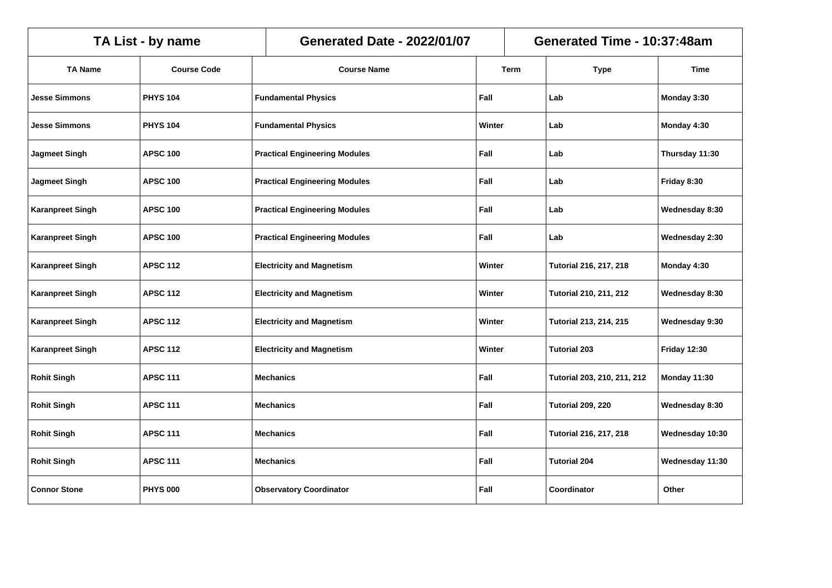| TA List - by name       |                    |  | <b>Generated Date - 2022/01/07</b>   |        |        | Generated Time - 10:37:48am   |                     |  |  |
|-------------------------|--------------------|--|--------------------------------------|--------|--------|-------------------------------|---------------------|--|--|
| <b>TA Name</b>          | <b>Course Code</b> |  | <b>Course Name</b>                   |        | Term   | <b>Type</b>                   | <b>Time</b>         |  |  |
| <b>Jesse Simmons</b>    | <b>PHYS 104</b>    |  | <b>Fundamental Physics</b>           | Fall   |        | Lab                           | Monday 3:30         |  |  |
| <b>Jesse Simmons</b>    | <b>PHYS 104</b>    |  | <b>Fundamental Physics</b>           | Winter |        | Lab                           | Monday 4:30         |  |  |
| <b>Jagmeet Singh</b>    | <b>APSC 100</b>    |  | <b>Practical Engineering Modules</b> | Fall   |        | Lab                           | Thursday 11:30      |  |  |
| <b>Jagmeet Singh</b>    | <b>APSC 100</b>    |  | <b>Practical Engineering Modules</b> | Fall   |        | Lab                           | Friday 8:30         |  |  |
| <b>Karanpreet Singh</b> | <b>APSC 100</b>    |  | <b>Practical Engineering Modules</b> | Fall   |        | Lab                           | Wednesday 8:30      |  |  |
| <b>Karanpreet Singh</b> | <b>APSC 100</b>    |  | <b>Practical Engineering Modules</b> | Fall   |        | Lab                           | Wednesday 2:30      |  |  |
| <b>Karanpreet Singh</b> | <b>APSC 112</b>    |  | <b>Electricity and Magnetism</b>     |        | Winter | <b>Tutorial 216, 217, 218</b> | Monday 4:30         |  |  |
| <b>Karanpreet Singh</b> | <b>APSC 112</b>    |  | <b>Electricity and Magnetism</b>     |        | Winter | <b>Tutorial 210, 211, 212</b> | Wednesday 8:30      |  |  |
| <b>Karanpreet Singh</b> | <b>APSC 112</b>    |  | <b>Electricity and Magnetism</b>     | Winter |        | <b>Tutorial 213, 214, 215</b> | Wednesday 9:30      |  |  |
| <b>Karanpreet Singh</b> | <b>APSC 112</b>    |  | <b>Electricity and Magnetism</b>     | Winter |        | <b>Tutorial 203</b>           | <b>Friday 12:30</b> |  |  |
| <b>Rohit Singh</b>      | <b>APSC 111</b>    |  | <b>Mechanics</b>                     | Fall   |        | Tutorial 203, 210, 211, 212   | Monday 11:30        |  |  |
| <b>Rohit Singh</b>      | <b>APSC 111</b>    |  | <b>Mechanics</b>                     | Fall   |        | <b>Tutorial 209, 220</b>      | Wednesday 8:30      |  |  |
| <b>Rohit Singh</b>      | <b>APSC 111</b>    |  | <b>Mechanics</b>                     | Fall   |        | <b>Tutorial 216, 217, 218</b> | Wednesday 10:30     |  |  |
| <b>Rohit Singh</b>      | <b>APSC 111</b>    |  | <b>Mechanics</b>                     | Fall   |        | <b>Tutorial 204</b>           | Wednesday 11:30     |  |  |
| <b>Connor Stone</b>     | <b>PHYS 000</b>    |  | <b>Observatory Coordinator</b>       | Fall   |        | Coordinator                   | Other               |  |  |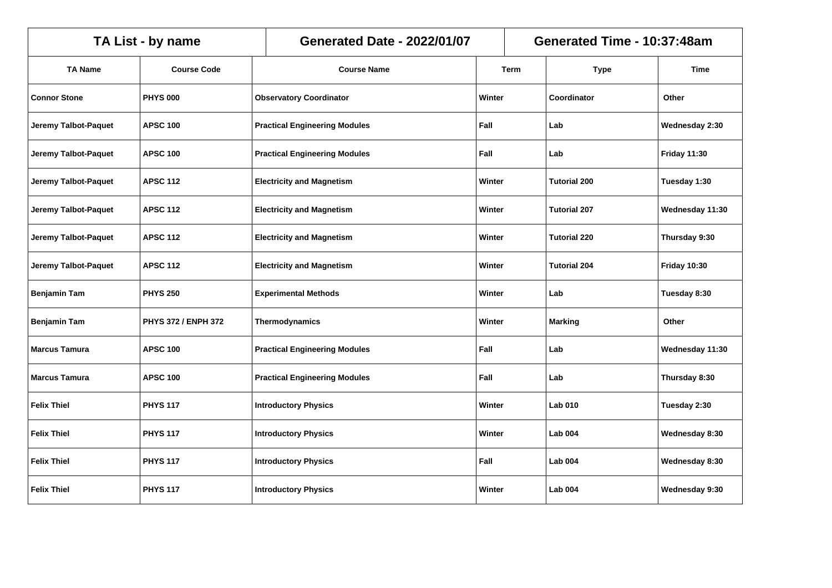| TA List - by name           |                     |                                  | <b>Generated Date - 2022/01/07</b>    |             |                     | Generated Time - 10:37:48am |                     |  |  |
|-----------------------------|---------------------|----------------------------------|---------------------------------------|-------------|---------------------|-----------------------------|---------------------|--|--|
| <b>TA Name</b>              | <b>Course Code</b>  | <b>Course Name</b>               |                                       | <b>Term</b> |                     | <b>Type</b>                 | Time                |  |  |
| <b>Connor Stone</b>         | <b>PHYS 000</b>     | <b>Observatory Coordinator</b>   |                                       | Winter      |                     | Coordinator                 | Other               |  |  |
| Jeremy Talbot-Paquet        | <b>APSC 100</b>     |                                  | <b>Practical Engineering Modules</b>  | Fall        |                     | Lab                         | Wednesday 2:30      |  |  |
| Jeremy Talbot-Paquet        | <b>APSC 100</b>     |                                  | <b>Practical Engineering Modules</b>  | Fall        |                     | Lab                         | <b>Friday 11:30</b> |  |  |
| <b>Jeremy Talbot-Paquet</b> | <b>APSC 112</b>     | <b>Electricity and Magnetism</b> | Winter                                |             | <b>Tutorial 200</b> | Tuesday 1:30                |                     |  |  |
| Jeremy Talbot-Paquet        | <b>APSC 112</b>     | <b>Electricity and Magnetism</b> |                                       | Winter      |                     | <b>Tutorial 207</b>         | Wednesday 11:30     |  |  |
| <b>Jeremy Talbot-Paquet</b> | <b>APSC 112</b>     | <b>Electricity and Magnetism</b> |                                       | Winter      |                     | <b>Tutorial 220</b>         | Thursday 9:30       |  |  |
| Jeremy Talbot-Paquet        | <b>APSC 112</b>     | <b>Electricity and Magnetism</b> |                                       | Winter      |                     | <b>Tutorial 204</b>         | <b>Friday 10:30</b> |  |  |
| <b>Benjamin Tam</b>         | <b>PHYS 250</b>     |                                  | <b>Experimental Methods</b><br>Winter |             |                     | Lab                         | Tuesday 8:30        |  |  |
| <b>Benjamin Tam</b>         | PHYS 372 / ENPH 372 | Thermodynamics                   |                                       | Winter      |                     | <b>Marking</b>              | Other               |  |  |
| <b>Marcus Tamura</b>        | <b>APSC 100</b>     |                                  | <b>Practical Engineering Modules</b>  | Fall        |                     | Lab                         | Wednesday 11:30     |  |  |
| <b>Marcus Tamura</b>        | <b>APSC 100</b>     |                                  | <b>Practical Engineering Modules</b>  | Fall        |                     | Lab                         | Thursday 8:30       |  |  |
| <b>Felix Thiel</b>          | <b>PHYS 117</b>     | <b>Introductory Physics</b>      |                                       | Winter      |                     | <b>Lab 010</b>              | Tuesday 2:30        |  |  |
| <b>Felix Thiel</b>          | <b>PHYS 117</b>     | <b>Introductory Physics</b>      |                                       | Winter      |                     | <b>Lab 004</b>              | Wednesday 8:30      |  |  |
| <b>Felix Thiel</b>          | <b>PHYS 117</b>     | <b>Introductory Physics</b>      |                                       | Fall        |                     | <b>Lab 004</b>              | Wednesday 8:30      |  |  |
| <b>Felix Thiel</b>          | <b>PHYS 117</b>     | <b>Introductory Physics</b>      |                                       | Winter      |                     | <b>Lab 004</b>              | Wednesday 9:30      |  |  |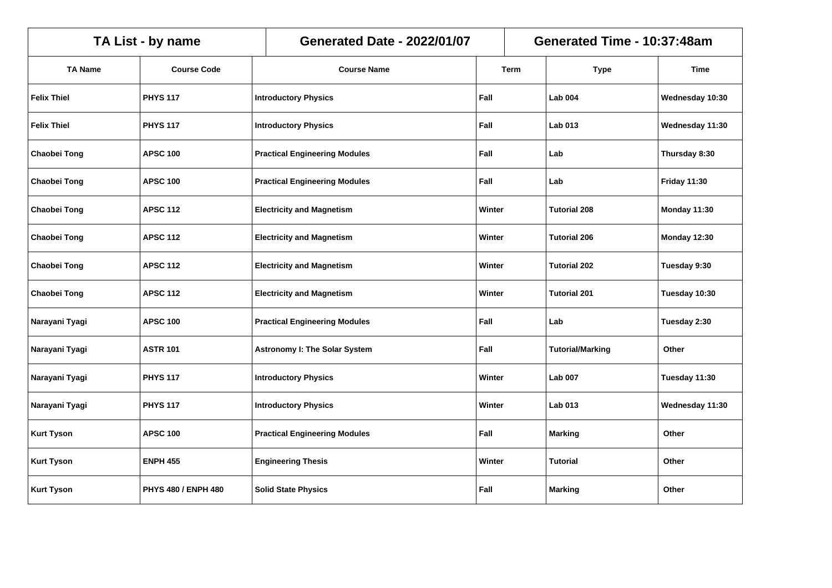| TA List - by name   |                            |  | <b>Generated Date - 2022/01/07</b>         |        |        | Generated Time - 10:37:48am |                     |  |  |
|---------------------|----------------------------|--|--------------------------------------------|--------|--------|-----------------------------|---------------------|--|--|
| <b>TA Name</b>      | <b>Course Code</b>         |  | <b>Course Name</b>                         |        | Term   | <b>Type</b>                 | Time                |  |  |
| <b>Felix Thiel</b>  | <b>PHYS 117</b>            |  | <b>Introductory Physics</b>                | Fall   |        | <b>Lab 004</b>              | Wednesday 10:30     |  |  |
| <b>Felix Thiel</b>  | <b>PHYS 117</b>            |  | <b>Introductory Physics</b>                | Fall   |        | <b>Lab 013</b>              | Wednesday 11:30     |  |  |
| <b>Chaobei Tong</b> | <b>APSC 100</b>            |  | <b>Practical Engineering Modules</b>       | Fall   |        | Lab                         | Thursday 8:30       |  |  |
| <b>Chaobei Tong</b> | <b>APSC 100</b>            |  | <b>Practical Engineering Modules</b>       | Fall   |        | Lab                         | <b>Friday 11:30</b> |  |  |
| Chaobei Tong        | <b>APSC 112</b>            |  | <b>Electricity and Magnetism</b>           | Winter |        | <b>Tutorial 208</b>         | Monday 11:30        |  |  |
| <b>Chaobei Tong</b> | <b>APSC 112</b>            |  | <b>Electricity and Magnetism</b><br>Winter |        |        | <b>Tutorial 206</b>         | Monday 12:30        |  |  |
| <b>Chaobei Tong</b> | <b>APSC 112</b>            |  | <b>Electricity and Magnetism</b>           |        | Winter | <b>Tutorial 202</b>         | Tuesday 9:30        |  |  |
| <b>Chaobei Tong</b> | <b>APSC 112</b>            |  | <b>Electricity and Magnetism</b>           |        | Winter | <b>Tutorial 201</b>         | Tuesday 10:30       |  |  |
| Narayani Tyagi      | <b>APSC 100</b>            |  | <b>Practical Engineering Modules</b>       | Fall   |        | Lab                         | Tuesday 2:30        |  |  |
| Narayani Tyagi      | <b>ASTR 101</b>            |  | <b>Astronomy I: The Solar System</b>       | Fall   |        | <b>Tutorial/Marking</b>     | Other               |  |  |
| Narayani Tyagi      | <b>PHYS 117</b>            |  | <b>Introductory Physics</b>                | Winter |        | <b>Lab 007</b>              | Tuesday 11:30       |  |  |
| Narayani Tyagi      | <b>PHYS 117</b>            |  | <b>Introductory Physics</b>                | Winter |        | <b>Lab 013</b>              | Wednesday 11:30     |  |  |
| <b>Kurt Tyson</b>   | <b>APSC 100</b>            |  | <b>Practical Engineering Modules</b>       | Fall   |        | <b>Marking</b>              | Other               |  |  |
| <b>Kurt Tyson</b>   | <b>ENPH 455</b>            |  | <b>Engineering Thesis</b>                  | Winter |        | <b>Tutorial</b>             | Other               |  |  |
| <b>Kurt Tyson</b>   | <b>PHYS 480 / ENPH 480</b> |  | <b>Solid State Physics</b>                 | Fall   |        | <b>Marking</b>              | Other               |  |  |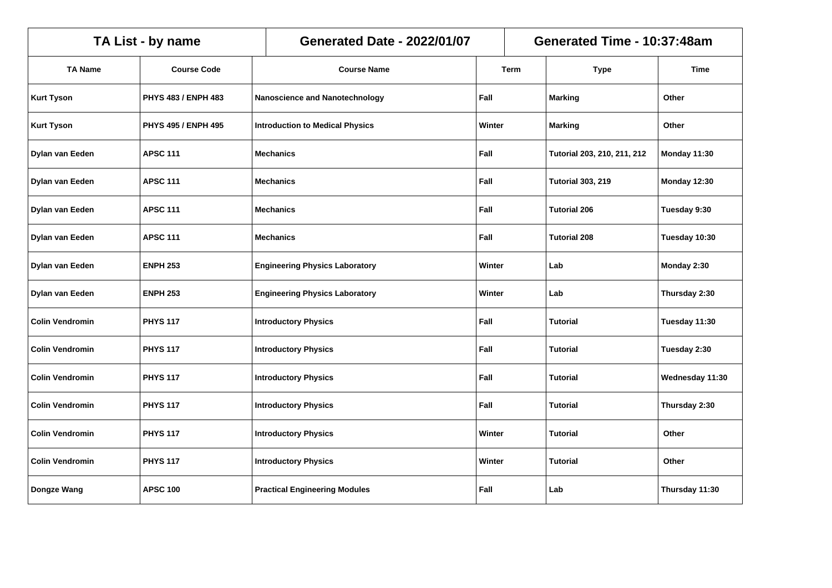|                        | TA List - by name          | <b>Generated Date - 2022/01/07</b>     | Generated Time - 10:37:48am |        |                             |                 |
|------------------------|----------------------------|----------------------------------------|-----------------------------|--------|-----------------------------|-----------------|
| <b>TA Name</b>         | <b>Course Code</b>         | <b>Course Name</b>                     |                             | Term   | <b>Type</b>                 | Time            |
| <b>Kurt Tyson</b>      | PHYS 483 / ENPH 483        | Nanoscience and Nanotechnology         | Fall                        |        | <b>Marking</b>              | Other           |
| <b>Kurt Tyson</b>      | <b>PHYS 495 / ENPH 495</b> | <b>Introduction to Medical Physics</b> | Winter                      |        | <b>Marking</b>              | Other           |
| Dylan van Eeden        | <b>APSC 111</b>            | <b>Mechanics</b>                       | Fall                        |        | Tutorial 203, 210, 211, 212 | Monday 11:30    |
| Dylan van Eeden        | <b>APSC 111</b>            | <b>Mechanics</b>                       | Fall                        |        | <b>Tutorial 303, 219</b>    | Monday 12:30    |
| Dylan van Eeden        | <b>APSC 111</b>            | Fall<br><b>Mechanics</b>               |                             |        | <b>Tutorial 206</b>         | Tuesday 9:30    |
| Dylan van Eeden        | <b>APSC 111</b>            | Fall<br><b>Mechanics</b>               |                             |        | <b>Tutorial 208</b>         | Tuesday 10:30   |
| Dylan van Eeden        | <b>ENPH 253</b>            | <b>Engineering Physics Laboratory</b>  |                             | Winter | Lab                         | Monday 2:30     |
| Dylan van Eeden        | <b>ENPH 253</b>            | <b>Engineering Physics Laboratory</b>  | Winter                      |        | Lab                         | Thursday 2:30   |
| <b>Colin Vendromin</b> | <b>PHYS 117</b>            | <b>Introductory Physics</b>            | Fall                        |        | Tutorial                    | Tuesday 11:30   |
| <b>Colin Vendromin</b> | <b>PHYS 117</b>            | <b>Introductory Physics</b>            | Fall                        |        | <b>Tutorial</b>             | Tuesday 2:30    |
| <b>Colin Vendromin</b> | <b>PHYS 117</b>            | <b>Introductory Physics</b>            | Fall                        |        | <b>Tutorial</b>             | Wednesday 11:30 |
| <b>Colin Vendromin</b> | <b>PHYS 117</b>            | <b>Introductory Physics</b>            | Fall                        |        | <b>Tutorial</b>             | Thursday 2:30   |
| <b>Colin Vendromin</b> | <b>PHYS 117</b>            | <b>Introductory Physics</b>            | Winter                      |        | <b>Tutorial</b>             | Other           |
| <b>Colin Vendromin</b> | <b>PHYS 117</b>            | <b>Introductory Physics</b>            | Winter                      |        | <b>Tutorial</b>             | Other           |
| Dongze Wang            | <b>APSC 100</b>            | <b>Practical Engineering Modules</b>   | Fall                        |        | Lab                         | Thursday 11:30  |